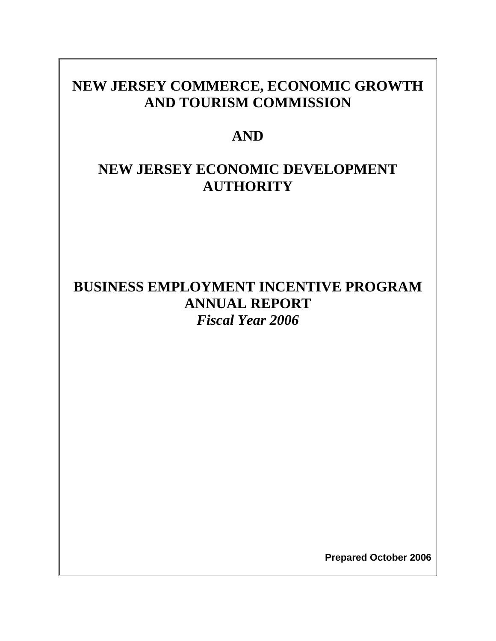# **NEW JERSEY COMMERCE, ECONOMIC GROWTH AND TOURISM COMMISSION**

# **AND**

# **NEW JERSEY ECONOMIC DEVELOPMENT AUTHORITY**

# **BUSINESS EMPLOYMENT INCENTIVE PROGRAM ANNUAL REPORT**  *Fiscal Year 2006*

**Prepared October 2006**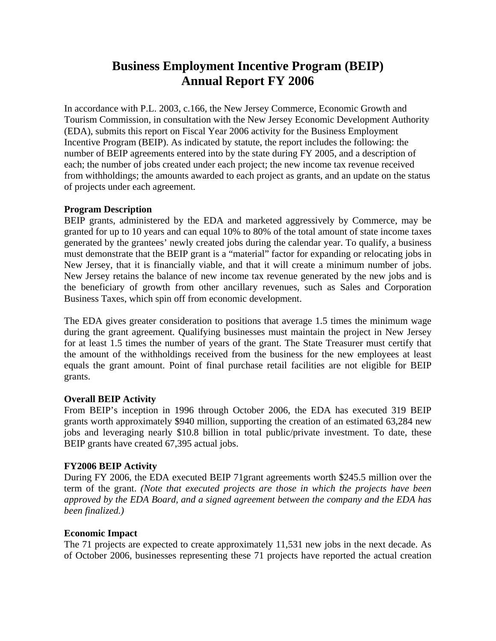# **Business Employment Incentive Program (BEIP) Annual Report FY 2006**

In accordance with P.L. 2003, c.166, the New Jersey Commerce, Economic Growth and Tourism Commission, in consultation with the New Jersey Economic Development Authority (EDA), submits this report on Fiscal Year 2006 activity for the Business Employment Incentive Program (BEIP). As indicated by statute, the report includes the following: the number of BEIP agreements entered into by the state during FY 2005, and a description of each; the number of jobs created under each project; the new income tax revenue received from withholdings; the amounts awarded to each project as grants, and an update on the status of projects under each agreement.

# **Program Description**

BEIP grants, administered by the EDA and marketed aggressively by Commerce, may be granted for up to 10 years and can equal 10% to 80% of the total amount of state income taxes generated by the grantees' newly created jobs during the calendar year. To qualify, a business must demonstrate that the BEIP grant is a "material" factor for expanding or relocating jobs in New Jersey, that it is financially viable, and that it will create a minimum number of jobs. New Jersey retains the balance of new income tax revenue generated by the new jobs and is the beneficiary of growth from other ancillary revenues, such as Sales and Corporation Business Taxes, which spin off from economic development.

The EDA gives greater consideration to positions that average 1.5 times the minimum wage during the grant agreement. Qualifying businesses must maintain the project in New Jersey for at least 1.5 times the number of years of the grant. The State Treasurer must certify that the amount of the withholdings received from the business for the new employees at least equals the grant amount. Point of final purchase retail facilities are not eligible for BEIP grants.

# **Overall BEIP Activity**

From BEIP's inception in 1996 through October 2006, the EDA has executed 319 BEIP grants worth approximately \$940 million, supporting the creation of an estimated 63,284 new jobs and leveraging nearly \$10.8 billion in total public/private investment. To date, these BEIP grants have created 67,395 actual jobs.

# **FY2006 BEIP Activity**

During FY 2006, the EDA executed BEIP 71grant agreements worth \$245.5 million over the term of the grant. *(Note that executed projects are those in which the projects have been approved by the EDA Board, and a signed agreement between the company and the EDA has been finalized.)*

# **Economic Impact**

The 71 projects are expected to create approximately 11,531 new jobs in the next decade. As of October 2006, businesses representing these 71 projects have reported the actual creation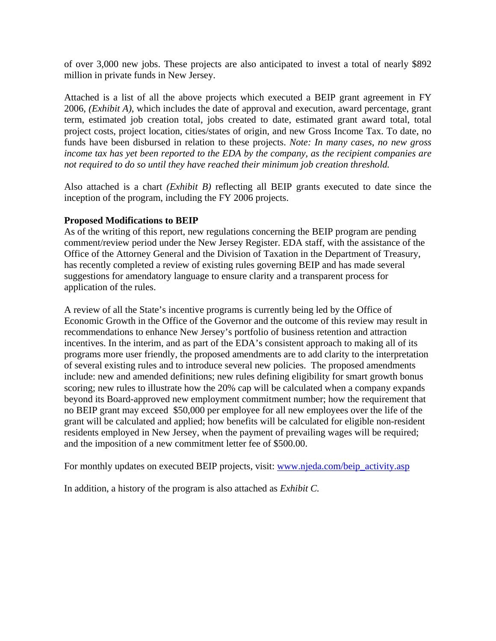of over 3,000 new jobs. These projects are also anticipated to invest a total of nearly \$892 million in private funds in New Jersey.

Attached is a list of all the above projects which executed a BEIP grant agreement in FY 2006, *(Exhibit A)*, which includes the date of approval and execution, award percentage, grant term, estimated job creation total, jobs created to date, estimated grant award total, total project costs, project location, cities/states of origin, and new Gross Income Tax. To date, no funds have been disbursed in relation to these projects. *Note: In many cases, no new gross income tax has yet been reported to the EDA by the company, as the recipient companies are not required to do so until they have reached their minimum job creation threshold.* 

Also attached is a chart *(Exhibit B)* reflecting all BEIP grants executed to date since the inception of the program, including the FY 2006 projects.

# **Proposed Modifications to BEIP**

As of the writing of this report, new regulations concerning the BEIP program are pending comment/review period under the New Jersey Register. EDA staff, with the assistance of the Office of the Attorney General and the Division of Taxation in the Department of Treasury, has recently completed a review of existing rules governing BEIP and has made several suggestions for amendatory language to ensure clarity and a transparent process for application of the rules.

A review of all the State's incentive programs is currently being led by the Office of Economic Growth in the Office of the Governor and the outcome of this review may result in recommendations to enhance New Jersey's portfolio of business retention and attraction incentives. In the interim, and as part of the EDA's consistent approach to making all of its programs more user friendly, the proposed amendments are to add clarity to the interpretation of several existing rules and to introduce several new policies. The proposed amendments include: new and amended definitions; new rules defining eligibility for smart growth bonus scoring; new rules to illustrate how the 20% cap will be calculated when a company expands beyond its Board-approved new employment commitment number; how the requirement that no BEIP grant may exceed \$50,000 per employee for all new employees over the life of the grant will be calculated and applied; how benefits will be calculated for eligible non-resident residents employed in New Jersey, when the payment of prevailing wages will be required; and the imposition of a new commitment letter fee of \$500.00.

For monthly updates on executed BEIP projects, visit: www.njeda.com/beip\_activity.asp

In addition, a history of the program is also attached as *Exhibit C.*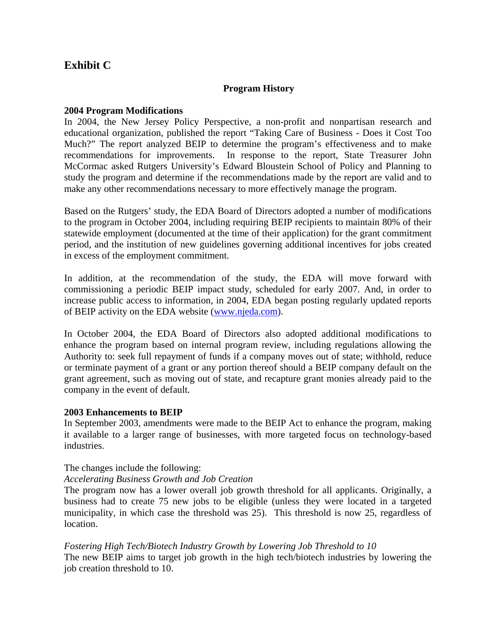# **Exhibit C**

# **Program History**

# **2004 Program Modifications**

In 2004, the New Jersey Policy Perspective, a non-profit and nonpartisan research and educational organization, published the report "Taking Care of Business - Does it Cost Too Much?" The report analyzed BEIP to determine the program's effectiveness and to make recommendations for improvements. In response to the report, State Treasurer John McCormac asked Rutgers University's Edward Bloustein School of Policy and Planning to study the program and determine if the recommendations made by the report are valid and to make any other recommendations necessary to more effectively manage the program.

Based on the Rutgers' study, the EDA Board of Directors adopted a number of modifications to the program in October 2004, including requiring BEIP recipients to maintain 80% of their statewide employment (documented at the time of their application) for the grant commitment period, and the institution of new guidelines governing additional incentives for jobs created in excess of the employment commitment.

In addition, at the recommendation of the study, the EDA will move forward with commissioning a periodic BEIP impact study, scheduled for early 2007. And, in order to increase public access to information, in 2004, EDA began posting regularly updated reports of BEIP activity on the EDA website (www.njeda.com).

In October 2004, the EDA Board of Directors also adopted additional modifications to enhance the program based on internal program review, including regulations allowing the Authority to: seek full repayment of funds if a company moves out of state; withhold, reduce or terminate payment of a grant or any portion thereof should a BEIP company default on the grant agreement, such as moving out of state, and recapture grant monies already paid to the company in the event of default.

# **2003 Enhancements to BEIP**

In September 2003, amendments were made to the BEIP Act to enhance the program, making it available to a larger range of businesses, with more targeted focus on technology-based industries.

# The changes include the following:

# *Accelerating Business Growth and Job Creation*

The program now has a lower overall job growth threshold for all applicants. Originally, a business had to create 75 new jobs to be eligible (unless they were located in a targeted municipality, in which case the threshold was 25). This threshold is now 25, regardless of location.

## *Fostering High Tech/Biotech Industry Growth by Lowering Job Threshold to 10*

The new BEIP aims to target job growth in the high tech/biotech industries by lowering the job creation threshold to 10.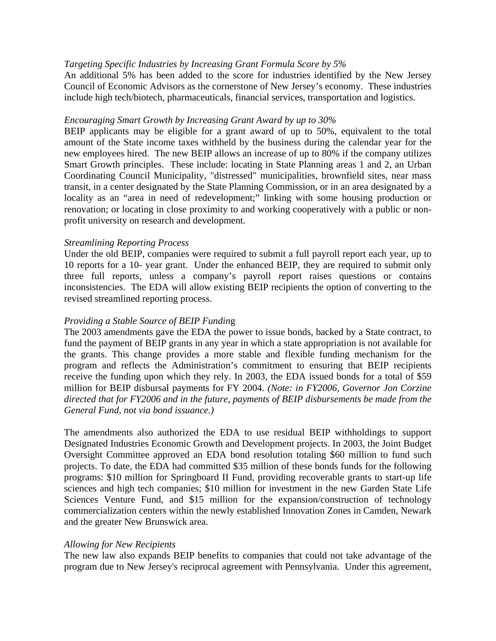# *Targeting Specific Industries by Increasing Grant Formula Score by 5%*

An additional 5% has been added to the score for industries identified by the New Jersey Council of Economic Advisors as the cornerstone of New Jersey's economy. These industries include high tech/biotech, pharmaceuticals, financial services, transportation and logistics.

## *Encouraging Smart Growth by Increasing Grant Award by up to 30%*

BEIP applicants may be eligible for a grant award of up to 50%, equivalent to the total amount of the State income taxes withheld by the business during the calendar year for the new employees hired. The new BEIP allows an increase of up to 80% if the company utilizes Smart Growth principles. These include: locating in State Planning areas 1 and 2, an Urban Coordinating Council Municipality, "distressed" municipalities, brownfield sites, near mass transit, in a center designated by the State Planning Commission, or in an area designated by a locality as an "area in need of redevelopment;" linking with some housing production or renovation; or locating in close proximity to and working cooperatively with a public or nonprofit university on research and development.

## *Streamlining Reporting Process*

Under the old BEIP, companies were required to submit a full payroll report each year, up to 10 reports for a 10- year grant. Under the enhanced BEIP, they are required to submit only three full reports, unless a company's payroll report raises questions or contains inconsistencies. The EDA will allow existing BEIP recipients the option of converting to the revised streamlined reporting process.

## *Providing a Stable Source of BEIP Fundin*g

The 2003 amendments gave the EDA the power to issue bonds, backed by a State contract, to fund the payment of BEIP grants in any year in which a state appropriation is not available for the grants. This change provides a more stable and flexible funding mechanism for the program and reflects the Administration's commitment to ensuring that BEIP recipients receive the funding upon which they rely. In 2003, the EDA issued bonds for a total of \$59 million for BEIP disbursal payments for FY 2004. *(Note: in FY2006, Governor Jon Corzine directed that for FY2006 and in the future, payments of BEIP disbursements be made from the General Fund, not via bond issuance.)* 

The amendments also authorized the EDA to use residual BEIP withholdings to support Designated Industries Economic Growth and Development projects. In 2003, the Joint Budget Oversight Committee approved an EDA bond resolution totaling \$60 million to fund such projects. To date, the EDA had committed \$35 million of these bonds funds for the following programs: \$10 million for Springboard II Fund, providing recoverable grants to start-up life sciences and high tech companies; \$10 million for investment in the new Garden State Life Sciences Venture Fund, and \$15 million for the expansion/construction of technology commercialization centers within the newly established Innovation Zones in Camden, Newark and the greater New Brunswick area.

## *Allowing for New Recipients*

The new law also expands BEIP benefits to companies that could not take advantage of the program due to New Jersey's reciprocal agreement with Pennsylvania. Under this agreement,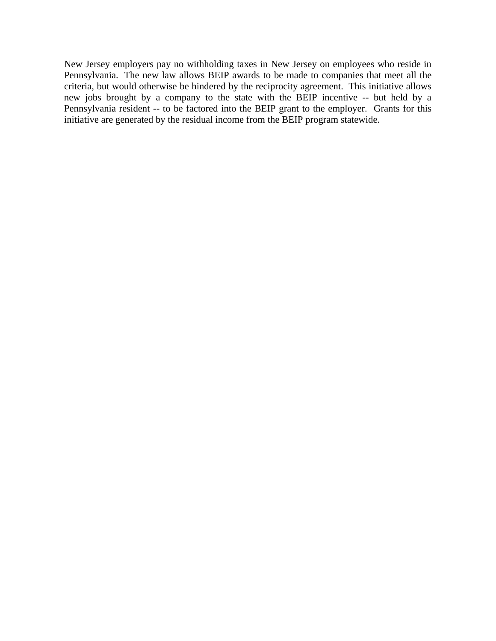New Jersey employers pay no withholding taxes in New Jersey on employees who reside in Pennsylvania. The new law allows BEIP awards to be made to companies that meet all the criteria, but would otherwise be hindered by the reciprocity agreement. This initiative allows new jobs brought by a company to the state with the BEIP incentive -- but held by a Pennsylvania resident -- to be factored into the BEIP grant to the employer. Grants for this initiative are generated by the residual income from the BEIP program statewide.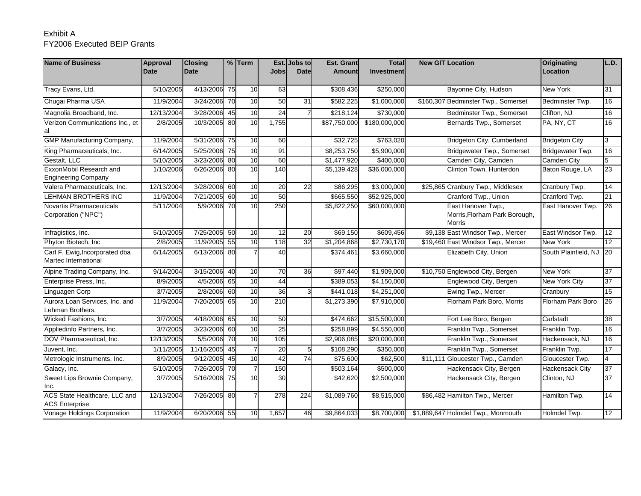# Exhibit AFY2006 Executed BEIP Grants

| <b>Name of Business</b>                                | Approval    | <b>Closing</b> |    | $%$ Term       |                 | Est. Jobs to | <b>Est. Grant</b>      | <b>Total</b>      | <b>New GITILocation</b>                                              | Originating            | L.D.            |
|--------------------------------------------------------|-------------|----------------|----|----------------|-----------------|--------------|------------------------|-------------------|----------------------------------------------------------------------|------------------------|-----------------|
|                                                        | <b>Date</b> | <b>Date</b>    |    |                | Jobsl           | <b>Date</b>  | <b>Amount</b>          | <b>Investment</b> |                                                                      | Location               |                 |
|                                                        |             |                |    |                |                 |              |                        |                   |                                                                      |                        |                 |
| Tracy Evans, Ltd.                                      | 5/10/2005   | 4/13/2006 75   |    | 10             | 63              |              | \$308,436              | \$250,000         | Bayonne City, Hudson                                                 | New York               | 31              |
| Chugai Pharma USA                                      | 11/9/2004   | 3/24/2006 70   |    | 10             | 50              | 31           | \$582,225              | \$1,000,000       | \$160,307 Bedminster Twp., Somerset                                  | Bedminster Twp.        | 16              |
| Magnolia Broadband, Inc.                               | 12/13/2004  | 3/28/2006 45   |    | 10             | $\overline{24}$ |              | \$218,124              | \$730,000         | Bedminster Twp., Somerset                                            | Clifton, NJ            | 16              |
| Verizon Communications Inc., et                        | 2/8/2005    | 10/3/2005      | 80 | 10             | 1,755           |              | \$87,750,000           | \$180,000,000     | Bernards Twp., Somerset                                              | PA, NY, CT             | 16              |
| GMP Manufacturing Company,                             | 11/9/2004   | 5/31/2006 75   |    | 10             | 60              |              | \$32,725               | \$763,020         | Bridgeton City, Cumberland                                           | <b>Bridgeton City</b>  | 3               |
| King Pharmaceuticals, Inc.                             | 6/14/2005   | 5/25/2006 75   |    | 10             | 91              |              | \$8,253,750            | \$5,900,000       | Bridgewater Twp., Somerset                                           | Bridgewater Twp.       | 16              |
| Gestalt. LLC                                           | 5/10/2005   | 3/23/2006 80   |    | 10             | 60              |              | \$1,477,920            | \$400.000         | Camden City, Camden                                                  | <b>Camden City</b>     | 5               |
| ExxonMobil Research and<br><b>Engineering Company</b>  | 1/10/2006   | 6/26/2006 80   |    | 10             | 140             |              | \$5,139,428            | \$36,000,000      | Clinton Town, Hunterdon                                              | Baton Rouge, LA        | 23              |
| Valera Pharmaceuticals, Inc.                           | 12/13/2004  | 3/28/2006 60   |    | 10             | 20              | 22           | \$86,295               | \$3,000,000       | \$25,865 Cranbury Twp., Middlesex                                    | Cranbury Twp.          | 14              |
| <b>LEHMAN BROTHERS INC</b>                             | 11/9/2004   | 7/21/2005 60   |    | 10             | 50              |              | \$665,550              | \$52,925,000      | Cranford Twp., Union                                                 | Cranford Twp.          | 21              |
| Novartis Pharmaceuticals<br>Corporation ("NPC")        | 5/11/2004   | 5/9/2006 70    |    | 10             | 250             |              | \$5,822,250            | \$60,000,000      | East Hanover Twp.,<br>Morris, Florham Park Borough,<br><b>Morris</b> | East Hanover Twp.      | 26              |
| Infragistics, Inc.                                     | 5/10/2005   | 7/25/2005 50   |    | 10             | 12              | 20           | \$69,150               | \$609,456         | \$9,138 East Windsor Twp., Mercer                                    | East Windsor Twp.      | 12              |
| Phyton Biotech, Inc.                                   | 2/8/2005    | 11/9/2005 55   |    | 10             | 118             | 32           | $\overline{1,204,868}$ | \$2,730,170       | \$19,460 East Windsor Twp., Mercer                                   | New York               | 12              |
| Carl F. Ewig, Incorporated dba<br>Martec International | 6/14/2005   | 6/13/2006 80   |    | 7              | 40              |              | \$374,461              | \$3,660,000       | Elizabeth City, Union                                                | South Plainfield, NJ   | 20              |
| Alpine Trading Company, Inc.                           | 9/14/2004   | 3/15/2006 40   |    | 10             | 70              | 36           | $\overline{$}97,440$   | \$1,909,000       | \$10,750 Englewood City, Bergen                                      | <b>New York</b>        | 37              |
| Enterprise Press, Inc.                                 | 8/9/2005    | 4/5/2006       | 65 | 10             | 44              |              | \$389,053              | \$4,150,000       | Englewood City, Bergen                                               | <b>New York City</b>   | 37              |
| Linguagen Corp                                         | 3/7/2005    | 2/8/2006       | 60 | 10             | 36              |              | \$441,018              | \$4,251,000       | Ewing Twp., Mercer                                                   | Cranbury               | 15              |
| Aurora Loan Services, Inc. and<br>Lehman Brothers,     | 11/9/2004   | 7/20/2005      | 65 | 10             | 210             |              | \$1,273,390            | \$7,910,000       | Florham Park Boro, Morris                                            | Florham Park Boro      | 26              |
| Wicked Fashions, Inc.                                  | 3/7/2005    | 4/18/2006 65   |    | 10             | 50              |              | \$474,662              | \$15,500,000      | Fort Lee Boro, Bergen                                                | Carlstadt              | 38              |
| Appliedinfo Partners, Inc.                             | 3/7/2005    | 3/23/2006 60   |    | 10             | 25              |              | \$258,899              | \$4,550,000       | Franklin Twp., Somerset                                              | Franklin Twp.          | 16              |
| DOV Pharmaceutical, Inc.                               | 12/13/2005  | 5/5/2006 70    |    | 10             | 105             |              | \$2,906,085            | \$20,000,000      | Franklin Twp., Somerset                                              | Hackensack, NJ         | 16              |
| Juvent, Inc.                                           | 1/11/2005   | 11/16/2005     | 45 | $\overline{7}$ | 20              | 5            | \$108,290              | \$350,000         | Franklin Twp., Somerset                                              | Franklin Twp.          | 17              |
| Metrologic Instruments, Inc.                           | 8/9/2005    | 9/12/2005      | 45 | 10             | 42              | 74           | \$75,600               | \$62,500          | \$11,111 Gloucester Twp., Camden                                     | Gloucester Twp.        | $\overline{4}$  |
| Galacy, Inc.                                           | 5/10/2005   | 7/26/2005 70   |    | $\overline{7}$ | 150             |              | \$503,164              | \$500,000         | Hackensack City, Bergen                                              | <b>Hackensack City</b> | 37              |
| Sweet Lips Brownie Company,<br>Inc.                    | 3/7/2005    | 5/16/2006      | 75 | 10             | $\overline{30}$ |              | \$42,620               | \$2,500,000       | Hackensack City, Bergen                                              | Clinton, NJ            | $\overline{37}$ |
| ACS State Healthcare, LLC and<br><b>ACS Enterprise</b> | 12/13/2004  | 7/26/2005 80   |    |                | 278             | 224          | \$1,089,760            | \$8,515,000       | \$86,482 Hamilton Twp., Mercer                                       | Hamilton Twp.          | 14              |
| Vonage Holdings Corporation                            | 11/9/2004   | 6/20/2006 55   |    | 10             | 1,657           | 46           | \$9,864,033            | \$8,700,000       | \$1,889,647 Holmdel Twp., Monmouth                                   | Holmdel Twp.           | 12              |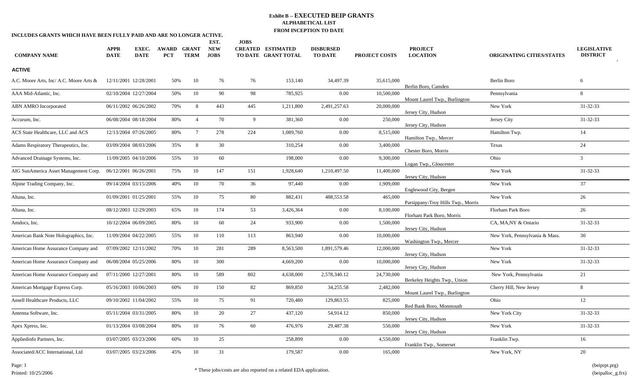| INCLUDES GRANTS WHICH HAVE BEEN FULLY PAID AND ARE NO LONGER ACTIVE. |                            |                       |                                  |                 |                                   | <b>JOBS</b> |                                                 |                                    |                      |                                    |                                  |                                       |
|----------------------------------------------------------------------|----------------------------|-----------------------|----------------------------------|-----------------|-----------------------------------|-------------|-------------------------------------------------|------------------------------------|----------------------|------------------------------------|----------------------------------|---------------------------------------|
| <b>COMPANY NAME</b>                                                  | <b>APPR</b><br><b>DATE</b> | EXEC.<br><b>DATE</b>  | <b>AWARD GRANT</b><br><b>PCT</b> | <b>TERM</b>     | EST.<br><b>NEW</b><br><b>JOBS</b> |             | <b>CREATED ESTIMATED</b><br>TO DATE GRANT TOTAL | <b>DISBURSED</b><br><b>TO DATE</b> | <b>PROJECT COSTS</b> | <b>PROJECT</b><br><b>LOCATION</b>  | <b>ORIGINATING CITIES/STATES</b> | <b>LEGISLATIVE</b><br><b>DISTRICT</b> |
| <b>ACTIVE</b>                                                        |                            |                       |                                  |                 |                                   |             |                                                 |                                    |                      |                                    |                                  |                                       |
| A.C. Moore Arts, Inc/ A.C. Moore Arts &                              |                            | 12/11/2001 12/28/2001 | 50%                              | 10              | 76                                | 76          | 153,140                                         | 34,497.39                          | 35,615,000           | Berlin Boro, Camden                | Berlin Boro                      | 6                                     |
| AAA Mid-Atlantic, Inc.                                               |                            | 02/10/2004 12/27/2004 | 50%                              | 10              | 90                                | 98          | 785,925                                         | 0.00                               | 10,500,000           | Mount Laurel Twp., Burlington      | Pennsylvania                     | 8                                     |
| <b>ABN AMRO Incorporated</b>                                         |                            | 06/11/2002 06/26/2002 | 70%                              | 8               | 443                               | 445         | 1,211,800                                       | 2,491,257.63                       | 20,000,000           | Jersey City, Hudson                | New York                         | 31-32-33                              |
| Accurum, Inc.                                                        |                            | 06/08/2004 08/18/2004 | 80%                              | $\overline{4}$  | 70                                | 9           | 381,360                                         | $0.00\,$                           | 250,000              | Jersey City, Hudson                | Jersey City                      | 31-32-33                              |
| ACS State Healthcare, LLC and ACS                                    |                            | 12/13/2004 07/26/2005 | 80%                              | $7\overline{ }$ | 278                               | 224         | 1,089,760                                       | $0.00\,$                           | 8,515,000            | Hamilton Twp., Mercer              | Hamilton Twp.                    | 14                                    |
| Adams Respiratory Therapeutics, Inc.                                 |                            | 03/09/2004 08/03/2006 | 35%                              | 8               | 30                                |             | 310,254                                         | 0.00                               | 3,400,000            | Chester Boro, Morris               | Texas                            | 24                                    |
| Advanced Drainage Systems, Inc.                                      |                            | 11/09/2005 04/10/2006 | 55%                              | 10              | 60                                |             | 198,000                                         | $0.00\,$                           | 9,300,000            | Logan Twp., Gloucester             | Ohio                             | $\mathfrak{Z}$                        |
| AIG SunAmerica Asset Management Corp.                                |                            | 06/12/2001 06/26/2001 | 75%                              | 10              | 147                               | 151         | 1,928,640                                       | 1,210,497.50                       | 11,400,000           | Jersey City, Hudson                | New York                         | 31-32-33                              |
| Alpine Trading Company, Inc.                                         |                            | 09/14/2004 03/15/2006 | 40%                              | 10              | 70                                | 36          | 97,440                                          | $0.00\,$                           | 1,909,000            | Englewood City, Bergen             | New York                         | 37                                    |
| Altana, Inc.                                                         |                            | 01/09/2001 01/25/2001 | 55%                              | 10              | 75                                | 80          | 882,431                                         | 488,553.58                         | 465,000              | Parsippany-Troy Hills Twp., Morris | New York                         | 26                                    |
| Altana, Inc.                                                         |                            | 08/12/2003 12/29/2003 | 65%                              | 10              | 174                               | 53          | 3,426,364                                       | $0.00\,$                           | 8,100,000            | Florham Park Boro, Morris          | Florham Park Boro                | 26                                    |
| Amdocs, Inc.                                                         |                            | 10/12/2004 06/09/2005 | 80%                              | 10              | 60                                | 24          | 933,900                                         | $0.00\,$                           | 1,500,000            | Jersey City, Hudson                | CA, MA, NY & Ontario             | 31-32-33                              |
| American Bank Note Holographics, Inc.                                |                            | 11/09/2004 04/22/2005 | 55%                              | 10              | 110                               | 113         | 863,940                                         | 0.00                               | 10,000,000           | Washington Twp., Mercer            | New York, Pennsylvania & Mass.   | $30\,$                                |
| American Home Assurance Company and                                  |                            | 07/09/2002 12/11/2002 | 70%                              | 10              | 281                               | 289         | 8,563,500                                       | 1,891,579.46                       | 12,000,000           | Jersey City, Hudson                | New York                         | 31-32-33                              |
| American Home Assurance Company and                                  |                            | 06/08/2004 05/25/2006 | 80%                              | 10              | 300                               |             | 4,669,200                                       | 0.00                               | 10,000,000           | Jersey City, Hudson                | New York                         | $31 - 32 - 33$                        |
| American Home Assurance Company and                                  |                            | 07/11/2000 12/27/2001 | 80%                              | 10              | 589                               | 802         | 4,638,000                                       | 2,578,340.12                       | 24,730,000           | Berkeley Heights Twp., Union       | New York, Pennsylvania           | 21                                    |
| American Mortgage Express Corp.                                      |                            | 05/16/2003 10/06/2003 | 60%                              | 10              | 150                               | 82          | 869,850                                         | 34,255.58                          | 2,482,000            | Mount Laurel Twp., Burlington      | Cherry Hill, New Jersey          | 8                                     |
| Ansell Healthcare Products, LLC                                      |                            | 09/10/2002 11/04/2002 | 55%                              | 10              | 75                                | 91          | 720,480                                         | 129,863.55                         | 825,000              | Red Bank Boro, Monmouth            | Ohio                             | 12                                    |
| Antenna Software, Inc.                                               |                            | 05/11/2004 03/31/2005 | 80%                              | 10              | 20                                | 27          | 437,120                                         | 54,914.12                          | 850,000              | Jersey City, Hudson                | New York City                    | $31 - 32 - 33$                        |
| Apex Xpress, Inc.                                                    |                            | 01/13/2004 03/08/2004 | 80%                              | 10              | 76                                | 60          | 476,976                                         | 29,487.38                          | 550,000              | Jersey City, Hudson                | New York                         | 31-32-33                              |
| Appliedinfo Partners, Inc.                                           |                            | 03/07/2005 03/23/2006 | 60%                              | 10              | 25                                |             | 258,899                                         | 0.00                               | 4,550,000            | Franklin Twp., Somerset            | Franklin Twp.                    | 16                                    |
| Associated/ACC International, Ltd                                    |                            | 03/07/2005 03/23/2006 | 45%                              | 10              | 31                                |             | 179,587                                         | 0.00                               | 165,000              |                                    | New York, NY                     | 20                                    |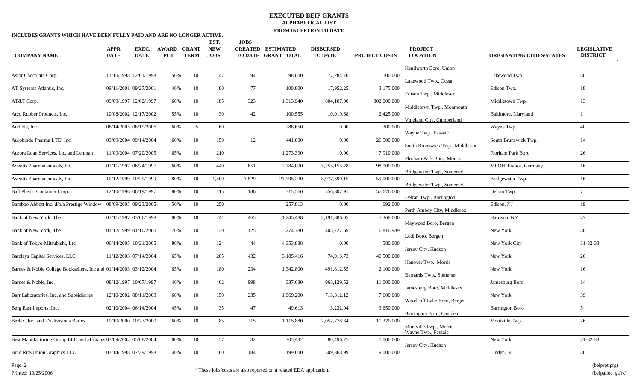|                                                                   |                            |                      |                            |                             | EST.                      | <b>JOBS</b> |                                                 |                                    |                      |                                   |                                  |                                       |
|-------------------------------------------------------------------|----------------------------|----------------------|----------------------------|-----------------------------|---------------------------|-------------|-------------------------------------------------|------------------------------------|----------------------|-----------------------------------|----------------------------------|---------------------------------------|
| <b>COMPANY NAME</b>                                               | <b>APPR</b><br><b>DATE</b> | EXEC.<br><b>DATE</b> | <b>AWARD</b><br><b>PCT</b> | <b>GRANT</b><br><b>TERM</b> | <b>NEW</b><br><b>JOBS</b> |             | <b>CREATED ESTIMATED</b><br>TO DATE GRANT TOTAL | <b>DISBURSED</b><br><b>TO DATE</b> | <b>PROJECT COSTS</b> | <b>PROJECT</b><br><b>LOCATION</b> | <b>ORIGINATING CITIES/STATES</b> | <b>LEGISLATIVE</b><br><b>DISTRICT</b> |
|                                                                   |                            |                      |                            |                             |                           |             |                                                 |                                    |                      | Kenilworth Boro, Union            |                                  |                                       |
| Astor Chocolate Corp.                                             | 11/10/1998 12/01/1998      |                      | 50%                        | 10                          | 47                        | 94          | 98,000                                          | 77,284.70                          | 100,000              | Lakewood Twp., Ocean              | Lakewood Twp.                    | 30                                    |
| AT Systems Atlantic, Inc.                                         | 09/11/2001 09/27/2001      |                      | 40%                        | 10                          | 80                        | 77          | 100,800                                         | 17,952.25                          | 3,175,000            | Edison Twp., Middlesex            | Edison Twp.                      | 18                                    |
| AT&T Corp.                                                        | 09/09/1997 12/02/1997      |                      | 60%                        | 10                          | 185                       | 323         | 1,313,940                                       | 804,107.90                         | 302,000,000          | Middletown Twp., Monmouth         | Middletown Twp.                  | 13                                    |
| Atco Rubber Products, Inc.                                        | 10/08/2002 12/17/2002      |                      | 55%                        | 10                          | 30                        | 42          | 100,555                                         | 10,919.68                          | 2,425,000            | Vineland City, Cumberland         | Baltimore, Maryland              |                                       |
| Audible, Inc.                                                     | 06/14/2005 06/19/2006      |                      | 60%                        | $5\overline{)}$             | 60                        |             | 286,650                                         | 0.00                               | 300,000              | Wayne Twp., Passaic               | Wayne Twp.                       | 40                                    |
| Aurobindo Pharma LTD, Inc.                                        | 03/09/2004 09/14/2004      |                      | 60%                        | 10                          | 150                       | 12          | 441,000                                         | 0.00                               | 26,500,000           | South Brunswick Twp., Middlesex   | South Brunswick Twp.             | 14                                    |
| Aurora Loan Services, Inc. and Lehman                             | 11/09/2004 07/20/2005      |                      | 65%                        | 10                          | 210                       |             | 1,273,390                                       | 0.00                               | 7,910,000            | Florham Park Boro, Morris         | Florham Park Boro                | 26                                    |
| Aventis Pharmaceuticals, Inc.                                     | 02/11/1997 06/24/1997      |                      | 60%                        | 10                          | 440                       | 651         | 2,784,000                                       | 5,255,153.28                       | 98,000,000           | Bridgewater Twp., Somerset        | MI, OH, France, Germany          | 16                                    |
| Aventis Pharmaceuticals, Inc.                                     | 10/12/1999 10/29/1999      |                      | 80%                        | 10                          | 1,400                     | 1,829       | 21,795,200                                      | 8,977,590.15                       | 59,000,000           | Bridgewater Twp., Somerset        | Bridgewater Twp.                 | 16                                    |
| <b>Ball Plastic Container Corp.</b>                               | 12/10/1996 06/19/1997      |                      | 80%                        | 10                          | 115                       | 186         | 315,560                                         | 556,807.91                         | 57,676,000           | Delran Twp., Burlington           | Delran Twp.                      | $7^{\circ}$                           |
| Bamboo Abbott Inc. d/b/a Prestige Window 08/09/2005 09/23/2005    |                            |                      | 50%                        | 10                          | 250                       |             | 257,813                                         | 0.00                               | 692,000              | Perth Amboy City, Middlesex       | Edison, NJ                       | 19                                    |
| Bank of New York, The                                             | 03/11/1997 03/06/1998      |                      | 80%                        | 10                          | 241                       | 465         | 1,245,488                                       | 3,191,386.05                       | 5,368,000            | Maywood Boro, Bergen              | Harrison, NY                     | 37                                    |
| Bank of New York, The                                             | 01/12/1999 01/10/2000      |                      | 70%                        | 10                          | 130                       | 125         | 274,780                                         | 405,727.69                         | 6,816,989            | Lodi Boro, Bergen                 | New York                         | 38                                    |
| Bank of Tokyo-Mitsubishi, Ltd                                     | 06/14/2005 10/21/2005      |                      | 80%                        | 10                          | 124                       | 44          | 4,353,888                                       | 0.00                               | 580,000              | Jersey City, Hudson               | New York City                    | $31 - 32 - 33$                        |
| Barclays Capital Services, LLC                                    | 11/12/2003 07/14/2004      |                      | 65%                        | 10                          | 205                       | 432         | 3,185,416                                       | 74,913.73                          | 40,500,000           | Hanover Twp., Morris              | New York                         | 26                                    |
| Barnes & Noble College Booksellers, Inc and 01/14/2003 03/12/2004 |                            |                      | 65%                        | 10                          | 180                       | 234         | 1,342,800                                       | 491,812.55                         | 2,100,000            | Bernards Twp., Somerset           | New York                         | 16                                    |
| Barnes & Noble, Inc.                                              | 08/12/1997 10/07/1997      |                      | 40%                        | 10                          | 402                       | 998         | 337,680                                         | 968,129.52                         | 11.000.000           | Jamesburg Boro, Middlesex         | Jamesburg Boro                   | 14                                    |
| Barr Laboratories, Inc. and Subsidiaries                          | 12/10/2002 08/11/2003      |                      | 60%                        | 10                          | 150                       | 235         | 1,969,200                                       | 713,312.12                         | 7,600,000            | Woodcliff Lake Boro, Bergen       | New York                         | 39                                    |
| Berg East Imports, Inc.                                           | 02/10/2004 06/14/2004      |                      | 45%                        | 10                          | 35                        | 47          | 49,613                                          | 3,232.04                           | 3,650,000            | Barrington Boro, Camden           | <b>Barrington Boro</b>           | 5 <sup>5</sup>                        |
| Berlex, Inc. and it's divisions Berlex                            | 10/10/2000 10/27/2000      |                      | 60%                        | 10                          | 85                        | 215         | 1,115,880                                       | 2,052,778.34                       | 11,320,000           | Montville Twp., Morris            | Montville Twp.                   | 26                                    |
|                                                                   |                            |                      |                            |                             |                           |             |                                                 |                                    |                      | Wayne Twp., Passaic               |                                  |                                       |
| Best Manufacturing Group LLC and affiliates 03/09/2004 05/08/2004 |                            |                      | 80%                        | 10                          | 57                        | 82          | 705,432                                         | 80,496.77                          | 1,000,000            | Jersey City, Hudson               | New York                         | $31 - 32 - 33$                        |
| <b>Bind Rite/Union Graphics LLC</b>                               | 07/14/1998 07/29/1998      |                      | 40%                        | 10                          | 100                       | 184         | 199,600                                         | 509,368.99                         | 9,000,000            |                                   | Linden, NJ                       | 36                                    |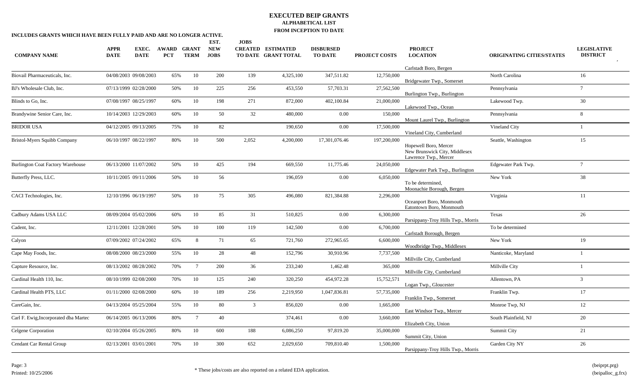| INCLUDES GRANTS WHICH HAVE BEEN FULLY PAID AND ARE NO LONGER ACTIVE. |             |                       |            |                 |                    |                |                          | <b>FROM EVEL HOW TO DATE</b> |                      |                                                                                 |                                  |                    |
|----------------------------------------------------------------------|-------------|-----------------------|------------|-----------------|--------------------|----------------|--------------------------|------------------------------|----------------------|---------------------------------------------------------------------------------|----------------------------------|--------------------|
|                                                                      | <b>APPR</b> | EXEC.                 | AWARD      | <b>GRANT</b>    | EST.<br><b>NEW</b> | <b>JOBS</b>    | <b>CREATED ESTIMATED</b> | <b>DISBURSED</b>             |                      | <b>PROJECT</b>                                                                  |                                  | <b>LEGISLATIVE</b> |
| <b>COMPANY NAME</b>                                                  | <b>DATE</b> | <b>DATE</b>           | <b>PCT</b> | <b>TERM</b>     | <b>JOBS</b>        |                | TO DATE GRANT TOTAL      | <b>TO DATE</b>               | <b>PROJECT COSTS</b> | <b>LOCATION</b>                                                                 | <b>ORIGINATING CITIES/STATES</b> | <b>DISTRICT</b>    |
|                                                                      |             |                       |            |                 |                    |                |                          |                              |                      | Carlstadt Boro, Bergen                                                          |                                  |                    |
| Biovail Pharmaceuticals, Inc.                                        |             | 04/08/2003 09/08/2003 | 65%        | 10              | 200                | 139            | 4,325,100                | 347,511.82                   | 12,750,000           | Bridgewater Twp., Somerset                                                      | North Carolina                   | 16                 |
| BJ's Wholesale Club, Inc.                                            |             | 07/13/1999 02/28/2000 | 50%        | 10              | 225                | 256            | 453,550                  | 57,703.31                    | 27,562,500           | Burlington Twp., Burlington                                                     | Pennsylvania                     | $\tau$             |
| Blinds to Go, Inc.                                                   |             | 07/08/1997 08/25/1997 | 60%        | 10              | 198                | 271            | 872,000                  | 402,100.84                   | 21,000,000           | Lakewood Twp., Ocean                                                            | Lakewood Twp.                    | 30                 |
| Brandywine Senior Care, Inc.                                         |             | 10/14/2003 12/29/2003 | 60%        | 10              | 50                 | 32             | 480,000                  | 0.00                         | 150,000              | Mount Laurel Twp., Burlington                                                   | Pennsylvania                     | 8                  |
| <b>BRIDOR USA</b>                                                    |             | 04/12/2005 09/13/2005 | 75%        | 10              | 82                 |                | 190,650                  | 0.00                         | 17,500,000           | Vineland City, Cumberland                                                       | Vineland City                    |                    |
| Bristol-Myers Squibb Company                                         |             | 06/10/1997 08/22/1997 | 80%        | 10              | 500                | 2,052          | 4,200,000                | 17,301,076.46                | 197,200,000          | Hopewell Boro, Mercer<br>New Brunswick City, Middlesex<br>Lawrence Twp., Mercer | Seattle, Washington              | 15                 |
| <b>Burlington Coat Factory Warehouse</b>                             |             | 06/13/2000 11/07/2002 | 50%        | 10              | 425                | 194            | 669,550                  | 11,775.46                    | 24,050,000           | Edgewater Park Twp., Burlington                                                 | Edgewater Park Twp.              | $\overline{7}$     |
| Butterfly Press, LLC.                                                |             | 10/11/2005 09/11/2006 | 50%        | 10              | 56                 |                | 196,059                  | 0.00                         | 6,050,000            | To be determined,<br>Moonachie Borough, Bergen                                  | New York                         | 38                 |
| CACI Technologies, Inc.                                              |             | 12/10/1996 06/19/1997 | 50%        | 10              | 75                 | 305            | 496,080                  | 821,384.88                   | 2,296,000            | Oceanport Boro, Monmouth<br>Eatontown Boro, Monmouth                            | Virginia                         | 11                 |
| Cadbury Adams USA LLC                                                |             | 08/09/2004 05/02/2006 | 60%        | 10              | 85                 | 31             | 510,825                  | 0.00                         | 6,300,000            | Parsippany-Troy Hills Twp., Morris                                              | Texas                            | 26                 |
| Cadent, Inc.                                                         |             | 12/11/2001 12/28/2001 | 50%        | 10              | 100                | 119            | 142,500                  | 0.00                         | 6,700,000            | Carlstadt Borough, Bergen                                                       | To be determined                 |                    |
| Calyon                                                               |             | 07/09/2002 07/24/2002 | 65%        | 8               | 71                 | 65             | 721,760                  | 272,965.65                   | 6,600,000            | Woodbridge Twp., Middlesex                                                      | New York                         | 19                 |
| Cape May Foods, Inc.                                                 |             | 08/08/2000 08/23/2000 | 55%        | 10              | 28                 | 48             | 152,796                  | 30,910.96                    | 7,737,500            | Millville City, Cumberland                                                      | Nanticoke, Maryland              |                    |
| Capture Resource, Inc.                                               |             | 08/13/2002 08/28/2002 | 70%        | $7\overline{ }$ | 200                | 36             | 233,240                  | 1,462.48                     | 365,000              | Millville City, Cumberland                                                      | Millville City                   |                    |
| Cardinal Health 110, Inc.                                            |             | 08/10/1999 02/08/2000 | 70%        | 10              | 125                | 240            | 320,250                  | 454,972.28                   | 15,752,571           | Logan Twp., Gloucester                                                          | Allentown, PA                    | $\mathfrak{Z}$     |
| Cardinal Health PTS, LLC                                             |             | 01/11/2000 02/08/2000 | 60%        | 10              | 189                | 256            | 2,219,950                | 1,047,836.81                 | 57,735,000           | Franklin Twp., Somerset                                                         | Franklin Twp.                    | 17                 |
| CareGain, Inc.                                                       |             | 04/13/2004 05/25/2004 | 55%        | 10              | 80                 | $\mathfrak{Z}$ | 856,020                  | 0.00                         | 1,665,000            | East Windsor Twp., Mercer                                                       | Monroe Twp, NJ                   | 12                 |
| Carl F. Ewig, Incorporated dba Martec                                |             | 06/14/2005 06/13/2006 | 80%        | $7\overline{ }$ | 40                 |                | 374,461                  | 0.00                         | 3,660,000            | Elizabeth City, Union                                                           | South Plainfield, NJ             | 20                 |
| Celgene Corporation                                                  |             | 02/10/2004 05/26/2005 | $80\%$     | 10              | 600                | 188            | 6,086,250                | 97,819.20                    | 35,000,000           | Summit City, Union                                                              | Summit City                      | 21                 |
| Cendant Car Rental Group                                             |             | 02/13/2001 03/01/2001 | 70%        | 10              | 300                | 652            | 2,029,650                | 709,810.40                   | 1,500,000            | Parsippany-Troy Hills Twp., Morris                                              | Garden City NY                   | 26                 |
|                                                                      |             |                       |            |                 |                    |                |                          |                              |                      |                                                                                 |                                  |                    |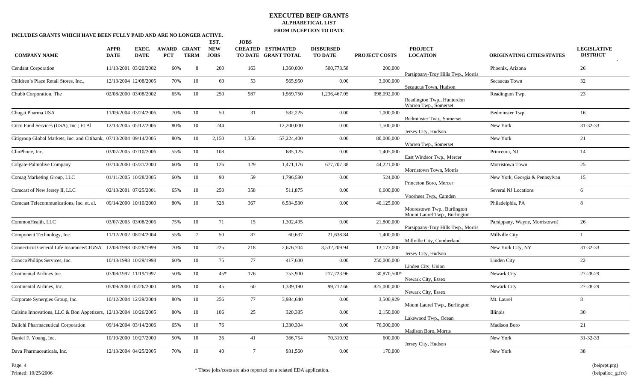| INCLUDES GRANTS WHICH HAVE BEEN FULLY PAID AND ARE NO LONGER ACTIVE. |                            |                      |                                  |                 |                                   |                |                                                 |                                    |                      |                                                              |                                  |                                       |
|----------------------------------------------------------------------|----------------------------|----------------------|----------------------------------|-----------------|-----------------------------------|----------------|-------------------------------------------------|------------------------------------|----------------------|--------------------------------------------------------------|----------------------------------|---------------------------------------|
| <b>COMPANY NAME</b>                                                  | <b>APPR</b><br><b>DATE</b> | EXEC.<br><b>DATE</b> | <b>AWARD GRANT</b><br><b>PCT</b> | <b>TERM</b>     | EST.<br><b>NEW</b><br><b>JOBS</b> | <b>JOBS</b>    | <b>CREATED ESTIMATED</b><br>TO DATE GRANT TOTAL | <b>DISBURSED</b><br><b>TO DATE</b> | <b>PROJECT COSTS</b> | <b>PROJECT</b><br><b>LOCATION</b>                            | <b>ORIGINATING CITIES/STATES</b> | <b>LEGISLATIVE</b><br><b>DISTRICT</b> |
| <b>Cendant Corporation</b>                                           | 11/13/2001 03/20/2002      |                      | 60%                              | 8               | 200                               | 163            | 1,360,000                                       | 500,773.58                         | 200,000              | Parsippany-Troy Hills Twp., Morris                           | Phoenix, Arizona                 | 26                                    |
| Children's Place Retail Stores, Inc.,                                | 12/13/2004 12/08/2005      |                      | 70%                              | 10              | 60                                | 53             | 565,950                                         | 0.00                               | 3,000,000            | Secaucus Town, Hudson                                        | Secaucus Town                    | 32                                    |
| Chubb Corporation, The                                               | 02/08/2000 03/08/2002      |                      | 65%                              | 10              | 250                               | 987            | 1,569,750                                       | 1,236,467.05                       | 398,092,000          | Readington Twp., Hunterdon<br>Warren Twp., Somerset          | Readington Twp.                  | 23                                    |
| Chugai Pharma USA                                                    | 11/09/2004 03/24/2006      |                      | 70%                              | 10              | 50                                | 31             | 582,225                                         | 0.00                               | 1,000,000            | Bedminster Twp., Somerset                                    | Bedminster Twp.                  | 16                                    |
| Citco Fund Services (USA), Inc.; Et Al                               | 12/13/2005 05/12/2006      |                      | 80%                              | 10              | 244                               |                | 12,200,000                                      | $0.00\,$                           | 1,500,000            | Jersey City, Hudson                                          | New York                         | 31-32-33                              |
| Citigroup Global Markets, Inc. and Citibank, 07/13/2004 09/14/2005   |                            |                      | 80%                              | 10              | 2,150                             | 1,356          | 57,224,400                                      | 0.00                               | 80,000,000           | Warren Twp., Somerset                                        | New York                         | 21                                    |
| ClinPhone, Inc.                                                      | 03/07/2005 07/10/2006      |                      | 55%                              | 10              | 108                               |                | 685,125                                         | 0.00                               | 1,405,000            | East Windsor Twp., Mercer                                    | Princeton, NJ                    | 14                                    |
| Colgate-Palmolive Company                                            | 03/14/2000 03/31/2000      |                      | 60%                              | 10              | 126                               | 129            | 1,471,176                                       | 677,707.38                         | 44,221,000           | Morristown Town, Morris                                      | Morristown Town                  | 25                                    |
| Comag Marketing Group, LLC                                           | 01/11/2005 10/28/2005      |                      | 60%                              | 10              | 90                                | 59             | 1,796,580                                       | 0.00                               | 524,000              | Princeton Boro, Mercer                                       | New York, Georgia & Pennsylvan   | 15                                    |
| Comcast of New Jersey II, LLC                                        | 02/13/2001 07/25/2001      |                      | 65%                              | 10              | 250                               | 358            | 511,875                                         | 0.00                               | 6,600,000            | Voorhees Twp., Camden                                        | Several NJ Locations             | 6                                     |
| Comcast Telecommunications, Inc. et. al.                             | 09/14/2000 10/10/2000      |                      | 80%                              | 10              | 528                               | 367            | 6,534,530                                       | $0.00\,$                           | 40,125,000           | Moorestown Twp., Burlington<br>Mount Laurel Twp., Burlington | Philadelphia, PA                 | 8                                     |
| CommonHealth, LLC                                                    | 03/07/2005 03/08/2006      |                      | 75%                              | 10              | 71                                | 15             | 1,302,495                                       | $0.00\,$                           | 21,800,000           | Parsippany-Troy Hills Twp., Morris                           | Parsippany, Wayne, MorristownJ   | 26                                    |
| Component Technology, Inc.                                           | 11/12/2002 08/24/2004      |                      | 55%                              | $7\phantom{.0}$ | 50                                | 87             | 60,637                                          | 21,638.84                          | 1,400,000            | Millville City, Cumberland                                   | Millville City                   | $\overline{1}$                        |
| Connecticut General Life Insurance/CIGNA 12/08/1998 05/28/1999       |                            |                      | 70%                              | 10              | 225                               | 218            | 2,676,704                                       | 3,532,209.94                       | 13,177,000           | Jersey City, Hudson                                          | New York City, NY                | 31-32-33                              |
| ConocoPhillips Services, Inc.                                        | 10/13/1998 10/29/1998      |                      | 60%                              | 10              | 75                                | 77             | 417,600                                         | 0.00                               | 250,000,000          | Linden City, Union                                           | Linden City                      | 22                                    |
| Continental Airlines Inc.                                            | 07/08/1997 11/19/1997      |                      | 50%                              | 10              | $45*$                             | 176            | 753,900                                         | 217,723.96                         | 30,870,500*          | Newark City, Essex                                           | Newark City                      | 27-28-29                              |
| Continental Airlines, Inc.                                           | 05/09/2000 05/26/2000      |                      | 60%                              | 10              | 45                                | 60             | 1,339,190                                       | 99,712.66                          | 825,000,000          | Newark City, Essex                                           | Newark City                      | 27-28-29                              |
| Corporate Synergies Group, Inc.                                      | 10/12/2004 12/29/2004      |                      | 80%                              | 10              | 256                               | 77             | 3,984,640                                       | 0.00                               | 3,500,929            | Mount Laurel Twp., Burlington                                | Mt. Laurel                       | 8                                     |
| Cuisine Innovations, LLC & Bon Appetizers, 12/13/2004 10/26/2005     |                            |                      | $80\%$                           | 10              | 106                               | 25             | 320,385                                         | $0.00\,$                           | 2,150,000            | Lakewood Twp., Ocean                                         | Illinois                         | 30                                    |
| Daiichi Pharmaceutical Corporation                                   | 09/14/2004 03/14/2006      |                      | 65%                              | 10              | 76                                |                | 1,330,304                                       | 0.00                               | 76,000,000           | Madison Boro, Morris                                         | <b>Madison Boro</b>              | 21                                    |
| Daniel F. Young, Inc.                                                | 10/10/2000 10/27/2000      |                      | 50%                              | 10              | 36                                | 41             | 366,754                                         | 70,310.92                          | 600,000              | Jersey City, Hudson                                          | New York                         | 31-32-33                              |
| Dava Pharmaceuticals, Inc.                                           | 12/13/2004 04/25/2005      |                      | 70%                              | 10              | 40                                | $\overline{7}$ | 931,560                                         | 0.00                               | 170,000              |                                                              | New York                         | 38                                    |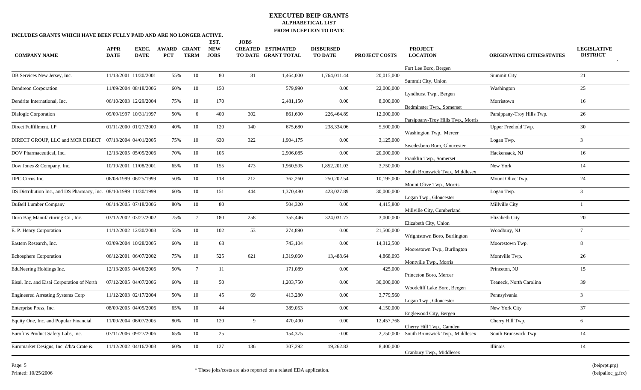|                                                                   |                            |                      |                            |                             | EST.                      | <b>JOBS</b> |                                                 |                                    |                      | <b>PROJECT</b>                     |                                  |                                       |
|-------------------------------------------------------------------|----------------------------|----------------------|----------------------------|-----------------------------|---------------------------|-------------|-------------------------------------------------|------------------------------------|----------------------|------------------------------------|----------------------------------|---------------------------------------|
| <b>COMPANY NAME</b>                                               | <b>APPR</b><br><b>DATE</b> | EXEC.<br><b>DATE</b> | <b>AWARD</b><br><b>PCT</b> | <b>GRANT</b><br><b>TERM</b> | <b>NEW</b><br><b>JOBS</b> |             | <b>CREATED ESTIMATED</b><br>TO DATE GRANT TOTAL | <b>DISBURSED</b><br><b>TO DATE</b> | <b>PROJECT COSTS</b> | <b>LOCATION</b>                    | <b>ORIGINATING CITIES/STATES</b> | <b>LEGISLATIVE</b><br><b>DISTRICT</b> |
|                                                                   |                            |                      |                            |                             |                           |             |                                                 |                                    |                      | Fort Lee Boro, Bergen              |                                  |                                       |
| DB Services New Jersey, Inc.                                      | 11/13/2001 11/30/2001      |                      | 55%                        | 10                          | 80                        | 81          | 1,464,000                                       | 1,764,011.44                       | 20,015,000           | Summit City, Union                 | Summit City                      | 21                                    |
| <b>Dendreon Corporation</b>                                       | 11/09/2004 08/18/2006      |                      | 60%                        | 10                          | 150                       |             | 579,990                                         | $0.00\,$                           | 22,000,000           | Lyndhurst Twp., Bergen             | Washington                       | 25                                    |
| Dendrite International, Inc.                                      | 06/10/2003 12/29/2004      |                      | 75%                        | 10                          | 170                       |             | 2,481,150                                       | 0.00                               | 8,000,000            | Bedminster Twp., Somerset          | Morristown                       | 16                                    |
| Dialogic Corporation                                              | 09/09/1997 10/31/1997      |                      | 50%                        | 6                           | 400                       | 302         | 861,600                                         | 226,464.89                         | 12,000,000           | Parsippany-Troy Hills Twp., Morris | Parsippany-Troy Hills Twp.       | 26                                    |
| Direct Fulfillment, LP                                            | 01/11/2000 01/27/2000      |                      | 40%                        | 10                          | 120                       | 140         | 675,680                                         | 238,334.06                         | 5,500,000            | Washington Twp., Mercer            | Upper Freehold Twp.              | 30                                    |
| DIRECT GROUP, LLC and MCR DIRECT 07/13/2004 04/01/2005            |                            |                      | 75%                        | 10                          | 630                       | 322         | 1,904,175                                       | 0.00                               | 3,125,000            | Swedesboro Boro, Gloucester        | Logan Twp.                       | 3 <sup>7</sup>                        |
| DOV Pharmaceutical, Inc.                                          | 12/13/2005 05/05/2006      |                      | 70%                        | 10                          | 105                       |             | 2,906,085                                       | $0.00\,$                           | 20,000,000           | Franklin Twp., Somerset            | Hackensack, NJ                   | 16                                    |
| Dow Jones & Company, Inc.                                         | 10/19/2001 11/08/2001      |                      | 65%                        | 10                          | 155                       | 473         | 1,960,595                                       | 1,852,201.03                       | 3,750,000            | South Brunswick Twp., Middlesex    | New York                         | 14                                    |
| DPC Cirrus Inc.                                                   | 06/08/1999 06/25/1999      |                      | 50%                        | 10                          | 118                       | 212         | 362,260                                         | 250, 202.54                        | 10,195,000           | Mount Olive Twp., Morris           | Mount Olive Twp.                 | 24                                    |
| DS Distribution Inc., and DS Pharmacy, Inc. 08/10/1999 11/30/1999 |                            |                      | 60%                        | 10                          | 151                       | 444         | 1,370,480                                       | 423,027.89                         | 30,000,000           | Logan Twp., Gloucester             | Logan Twp.                       | $\overline{3}$                        |
| DuBell Lumber Company                                             | 06/14/2005 07/18/2006      |                      | 80%                        | 10                          | 80                        |             | 504,320                                         | 0.00                               | 4,415,800            | Millville City, Cumberland         | Millville City                   |                                       |
| Duro Bag Manufacturing Co., Inc.                                  | 03/12/2002 03/27/2002      |                      | 75%                        | $7\overline{ }$             | 180                       | 258         | 355,446                                         | 324,031.77                         | 3,000,000            | Elizabeth City, Union              | Elizabeth City                   | 20                                    |
| E. P. Henry Corporation                                           | 11/12/2002 12/30/2003      |                      | 55%                        | 10                          | 102                       | 53          | 274,890                                         | 0.00                               | 21,500,000           | Wrightstown Boro, Burlington       | Woodbury, NJ                     | $7\overline{ }$                       |
| Eastern Research, Inc.                                            | 03/09/2004 10/28/2005      |                      | 60%                        | 10                          | 68                        |             | 743,104                                         | 0.00                               | 14,312,500           | Moorestown Twp., Burlington        | Moorestown Twp.                  | 8                                     |
| <b>Echosphere Corporation</b>                                     | 06/12/2001 06/07/2002      |                      | 75%                        | 10                          | 525                       | 621         | 1,319,060                                       | 13,488.64                          | 4,868,093            | Montville Twp., Morris             | Montville Twp.                   | 26                                    |
| EduNeering Holdings Inc.                                          | 12/13/2005 04/06/2006      |                      | 50%                        | $7\overline{ }$             | 11                        |             | 171,089                                         | 0.00                               | 425,000              | Princeton Boro, Mercer             | Princeton, NJ                    | 15                                    |
| Eisai, Inc. and Eisai Corporation of North                        | 07/12/2005 04/07/2006      |                      | 60%                        | 10                          | 50                        |             | 1,203,750                                       | $0.00\,$                           | 30,000,000           | Woodcliff Lake Boro, Bergen        | Teaneck, North Carolina          | 39                                    |
| <b>Engineered Arresting Systems Corp</b>                          | 11/12/2003 02/17/2004      |                      | 50%                        | 10                          | 45                        | 69          | 413,280                                         | 0.00                               | 3,779,560            | Logan Twp., Gloucester             | Pennsylvania                     | $\mathbf{3}$                          |
| Enterprise Press, Inc.                                            | 08/09/2005 04/05/2006      |                      | 65%                        | 10                          | 44                        |             | 389,053                                         | 0.00                               | 4,150,000            | Englewood City, Bergen             | New York City                    | 37                                    |
| Equity One, Inc. and Popular Financial                            | 11/09/2004 06/07/2005      |                      | 80%                        | 10                          | 120                       | 9           | 470,400                                         | 0.00                               | 12,457,768           | Cherry Hill Twp., Camden           | Cherry Hill Twp.                 | 6                                     |
| Eurofins Product Safety Labs, Inc.                                | 07/11/2006 09/27/2006      |                      | 65%                        | 10                          | 25                        |             | 154,375                                         | 0.00                               | 2,750,000            | South Brunswick Twp., Middlesex    | South Brunswick Twp.             | 14                                    |
| Euromarket Designs, Inc. d/b/a Crate &                            | 11/12/2002 04/16/2003      |                      | 60%                        | 10                          | 127                       | 136         | 307,292                                         | 19,262.83                          | 8,400,000            | Cranbury Twp., Middlesex           | Illinois                         | 14                                    |
|                                                                   |                            |                      |                            |                             |                           |             |                                                 |                                    |                      |                                    |                                  |                                       |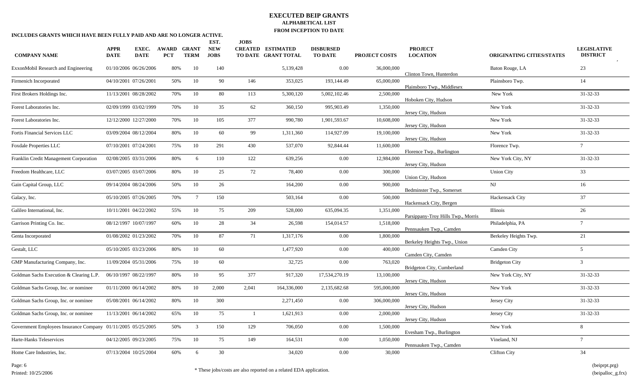| INCLUDES GRANTS WHICH HAVE BEEN FULLY PAID AND ARE NO LONGER ACTIVE. |                       |                       |                     |                             |                           |             |                                                 | <b>FROM INCEL 110N TO DATE</b>     |                      |                                    |                                  |                                       |
|----------------------------------------------------------------------|-----------------------|-----------------------|---------------------|-----------------------------|---------------------------|-------------|-------------------------------------------------|------------------------------------|----------------------|------------------------------------|----------------------------------|---------------------------------------|
|                                                                      |                       |                       |                     |                             | EST.                      | <b>JOBS</b> |                                                 |                                    |                      |                                    |                                  |                                       |
| <b>COMPANY NAME</b>                                                  | APPR<br><b>DATE</b>   | EXEC.<br><b>DATE</b>  | AWARD<br><b>PCT</b> | <b>GRANT</b><br><b>TERM</b> | <b>NEW</b><br><b>JOBS</b> |             | <b>CREATED ESTIMATED</b><br>TO DATE GRANT TOTAL | <b>DISBURSED</b><br><b>TO DATE</b> | <b>PROJECT COSTS</b> | <b>PROJECT</b><br><b>LOCATION</b>  | <b>ORIGINATING CITIES/STATES</b> | <b>LEGISLATIVE</b><br><b>DISTRICT</b> |
| ExxonMobil Research and Engineering                                  | 01/10/2006 06/26/2006 |                       | 80%                 | 10                          | 140                       |             | 5,139,428                                       | 0.00                               | 36,000,000           | Clinton Town, Hunterdon            | Baton Rouge, LA                  | 23                                    |
| Firmenich Incorporated                                               | 04/10/2001 07/26/2001 |                       | 50%                 | 10                          | 90                        | 146         | 353,025                                         | 193,144.49                         | 65,000,000           | Plainsboro Twp., Middlesex         | Plainsboro Twp.                  | 14                                    |
| First Brokers Holdings Inc.                                          |                       | 11/13/2001 08/28/2002 | 70%                 | 10                          | 80                        | 113         | 5,300,120                                       | 5,002,102.46                       | 2,500,000            | Hoboken City, Hudson               | New York                         | $31 - 32 - 33$                        |
| Forest Laboratories Inc.                                             | 02/09/1999 03/02/1999 |                       | 70%                 | 10                          | 35                        | 62          | 360,150                                         | 995,903.49                         | 1,350,000            | Jersey City, Hudson                | New York                         | 31-32-33                              |
| Forest Laboratories Inc.                                             |                       | 12/12/2000 12/27/2000 | 70%                 | 10                          | 105                       | 377         | 990,780                                         | 1,901,593.67                       | 10,608,000           | Jersey City, Hudson                | New York                         | 31-32-33                              |
| Fortis Financial Services LLC                                        | 03/09/2004 08/12/2004 |                       | 80%                 | 10                          | 60                        | 99          | 1,311,360                                       | 114,927.09                         | 19,100,000           | Jersey City, Hudson                | New York                         | 31-32-33                              |
| <b>Foxdale Properties LLC</b>                                        | 07/10/2001 07/24/2001 |                       | 75%                 | 10                          | 291                       | 430         | 537,070                                         | 92,844.44                          | 11,600,000           | Florence Twp., Burlington          | Florence Twp.                    | $7\overline{ }$                       |
| Franklin Credit Management Corporation                               | 02/08/2005 03/31/2006 |                       | 80%                 | 6                           | 110                       | 122         | 639,256                                         | 0.00                               | 12,984,000           | Jersey City, Hudson                | New York City, NY                | 31-32-33                              |
| Freedom Healthcare, LLC                                              | 03/07/2005 03/07/2006 |                       | $80\%$              | 10                          | 25                        | 72          | 78,400                                          | 0.00                               | 300,000              | Union City, Hudson                 | <b>Union City</b>                | 33                                    |
| Gain Capital Group, LLC                                              | 09/14/2004 08/24/2006 |                       | 50%                 | 10                          | 26                        |             | 164,200                                         | $0.00\,$                           | 900,000              | Bedminster Twp., Somerset          | $\mathbf{N}\mathbf{J}$           | 16                                    |
| Galacy, Inc.                                                         | 05/10/2005 07/26/2005 |                       | 70%                 | $7\overline{ }$             | 150                       |             | 503,164                                         | 0.00                               | 500,000              | Hackensack City, Bergen            | Hackensack City                  | 37                                    |
| Galileo International, Inc.                                          |                       | 10/11/2001 04/22/2002 | 55%                 | 10                          | 75                        | 209         | 528,000                                         | 635,094.35                         | 1,351,000            | Parsippany-Troy Hills Twp., Morris | <b>Illinois</b>                  | 26                                    |
| Garrison Printing Co. Inc.                                           | 08/12/1997 10/07/1997 |                       | 60%                 | 10                          | 28                        | 34          | 26,598                                          | 154,014.57                         | 1,518,000            | Pennsauken Twp., Camden            | Philadelphia, PA                 | $7\overline{ }$                       |
| Genta Incorporated                                                   | 01/08/2002 01/23/2002 |                       | 70%                 | 10                          | 87                        | 71          | 1,317,176                                       | $0.00\,$                           | 1,800,000            | Berkeley Heights Twp., Union       | Berkeley Heights Twp.            | 21                                    |
| Gestalt, LLC                                                         | 05/10/2005 03/23/2006 |                       | 80%                 | 10                          | 60                        |             | 1,477,920                                       | $0.00\,$                           | 400,000              | Camden City, Camden                | Camden City                      | $\mathfrak{S}$                        |
| GMP Manufacturing Company, Inc.                                      |                       | 11/09/2004 05/31/2006 | 75%                 | 10                          | 60                        |             | 32,725                                          | 0.00                               | 763,020              | Bridgeton City, Cumberland         | <b>Bridgeton City</b>            | $\mathcal{E}$                         |
| Goldman Sachs Execution & Clearing L.P.                              | 06/10/1997 08/22/1997 |                       | 80%                 | 10                          | 95                        | 377         | 917,320                                         | 17,534,270.19                      | 13,100,000           | Jersey City, Hudson                | New York City, NY                | 31-32-33                              |
| Goldman Sachs Group, Inc. or nominee                                 | 01/11/2000 06/14/2002 |                       | 80%                 | 10                          | 2,000                     | 2,041       | 164,336,000                                     | 2,135,682.68                       | 595,000,000          | Jersey City, Hudson                | New York                         | 31-32-33                              |
| Goldman Sachs Group, Inc. or nominee                                 | 05/08/2001 06/14/2002 |                       | 80%                 | 10                          | 300                       |             | 2,271,450                                       | 0.00                               | 306,000,000          | Jersey City, Hudson                | Jersey City                      | 31-32-33                              |
| Goldman Sachs Group, Inc. or nominee                                 | 11/13/2001 06/14/2002 |                       | 65%                 | 10                          | 75                        | -1          | 1,621,913                                       | $0.00\,$                           | 2,000,000            | Jersey City, Hudson                | Jersey City                      | 31-32-33                              |
| Government Employees Insurance Company 01/11/2005 05/25/2005         |                       |                       | 50%                 | $\mathbf{3}$                | 150                       | 129         | 706,050                                         | 0.00                               | 1,500,000            | Evesham Twp., Burlington           | New York                         | 8                                     |
| Harte-Hanks Teleservices                                             | 04/12/2005 09/23/2005 |                       | 75%                 | 10                          | 75                        | 149         | 164,531                                         | $0.00\,$                           | 1,050,000            | Pennsauken Twp., Camden            | Vineland, NJ                     | $7\overline{ }$                       |
| Home Care Industries, Inc.                                           | 07/13/2004 10/25/2004 |                       | 60%                 | 6                           | 30                        |             | 34,020                                          | 0.00                               | 30,000               |                                    | <b>Clifton City</b>              | 34                                    |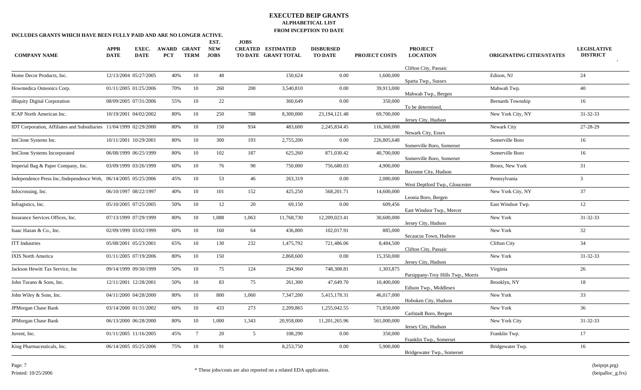|                            |                      |                                                                                                                                                                                                                                                                                                                                                                                                                                                                                                                                                                                                                                                           |                 | EST.                                                                                                                                                                   | <b>JOBS</b>     |            |                                                 |                      |                                   |                                                                                                                                                                          |                                       |
|----------------------------|----------------------|-----------------------------------------------------------------------------------------------------------------------------------------------------------------------------------------------------------------------------------------------------------------------------------------------------------------------------------------------------------------------------------------------------------------------------------------------------------------------------------------------------------------------------------------------------------------------------------------------------------------------------------------------------------|-----------------|------------------------------------------------------------------------------------------------------------------------------------------------------------------------|-----------------|------------|-------------------------------------------------|----------------------|-----------------------------------|--------------------------------------------------------------------------------------------------------------------------------------------------------------------------|---------------------------------------|
| <b>APPR</b><br><b>DATE</b> | EXEC.<br><b>DATE</b> | <b>PCT</b>                                                                                                                                                                                                                                                                                                                                                                                                                                                                                                                                                                                                                                                | <b>TERM</b>     | <b>NEW</b><br><b>JOBS</b>                                                                                                                                              |                 |            | <b>DISBURSED</b><br><b>TO DATE</b>              | <b>PROJECT COSTS</b> | <b>PROJECT</b><br><b>LOCATION</b> | <b>ORIGINATING CITIES/STATES</b>                                                                                                                                         | <b>LEGISLATIVE</b><br><b>DISTRICT</b> |
|                            |                      |                                                                                                                                                                                                                                                                                                                                                                                                                                                                                                                                                                                                                                                           |                 |                                                                                                                                                                        |                 |            |                                                 |                      | Clifton City, Passaic             |                                                                                                                                                                          |                                       |
|                            |                      |                                                                                                                                                                                                                                                                                                                                                                                                                                                                                                                                                                                                                                                           | 10              | 48                                                                                                                                                                     |                 | 150,624    | 0.00                                            | 1.600.000            | Sparta Twp., Sussex               | Edison, NJ                                                                                                                                                               | 24                                    |
|                            |                      |                                                                                                                                                                                                                                                                                                                                                                                                                                                                                                                                                                                                                                                           | 10              | 260                                                                                                                                                                    | 200             | 3,540,810  | 0.00                                            | 39,913,000           |                                   | Mahwah Twp.                                                                                                                                                              | 40                                    |
|                            |                      |                                                                                                                                                                                                                                                                                                                                                                                                                                                                                                                                                                                                                                                           | 10              | 22                                                                                                                                                                     |                 | 360,649    | 0.00                                            | 350,000              | To be determined,                 | Bernards Township                                                                                                                                                        | 16                                    |
|                            |                      |                                                                                                                                                                                                                                                                                                                                                                                                                                                                                                                                                                                                                                                           | 10              | 250                                                                                                                                                                    | 788             | 8,300,000  | 23, 194, 121. 48                                | 69,700,000           | Jersey City, Hudson               | New York City, NY                                                                                                                                                        | $31 - 32 - 33$                        |
|                            |                      |                                                                                                                                                                                                                                                                                                                                                                                                                                                                                                                                                                                                                                                           | 10              | 150                                                                                                                                                                    | 934             | 483,600    | 2,245,834.45                                    | 116,360,000          | Newark City, Essex                | Newark City                                                                                                                                                              | 27-28-29                              |
|                            |                      |                                                                                                                                                                                                                                                                                                                                                                                                                                                                                                                                                                                                                                                           | 10              | 300                                                                                                                                                                    | 193             | 2,755,200  | 0.00                                            | 226,805,648          | Somerville Boro, Somerset         | Somerville Boro                                                                                                                                                          | 16                                    |
|                            |                      |                                                                                                                                                                                                                                                                                                                                                                                                                                                                                                                                                                                                                                                           | 10              | 102                                                                                                                                                                    | 187             | 625,260    | 871,030.42                                      | 40,700,000           | Somerville Boro, Somerset         | Somerville Boro                                                                                                                                                          | 16                                    |
|                            |                      |                                                                                                                                                                                                                                                                                                                                                                                                                                                                                                                                                                                                                                                           | 10              | 76                                                                                                                                                                     | 90              | 750,000    | 756,680.03                                      | 4,900,000            | Bayonne City, Hudson              | Bronx, New York                                                                                                                                                          | 31                                    |
|                            |                      |                                                                                                                                                                                                                                                                                                                                                                                                                                                                                                                                                                                                                                                           | 10              | 53                                                                                                                                                                     | 46              | 263,319    | 0.00                                            | 2.080.000            |                                   | Pennsylvania                                                                                                                                                             | $\mathfrak{Z}$                        |
|                            |                      |                                                                                                                                                                                                                                                                                                                                                                                                                                                                                                                                                                                                                                                           | 10              | 101                                                                                                                                                                    | 152             | 425,250    | 568,201.71                                      | 14,600,000           | Leonia Boro, Bergen               | New York City, NY                                                                                                                                                        | 37                                    |
|                            |                      |                                                                                                                                                                                                                                                                                                                                                                                                                                                                                                                                                                                                                                                           | 10              | 12                                                                                                                                                                     | 20              | 69,150     | 0.00                                            | 609,456              |                                   | East Windsor Twp.                                                                                                                                                        | 12                                    |
|                            |                      |                                                                                                                                                                                                                                                                                                                                                                                                                                                                                                                                                                                                                                                           | 10              | 1,088                                                                                                                                                                  | 1,063           | 11,768,730 | 12,209,023.41                                   | 30,600,000           | Jersey City, Hudson               | New York                                                                                                                                                                 | $31 - 32 - 33$                        |
|                            |                      |                                                                                                                                                                                                                                                                                                                                                                                                                                                                                                                                                                                                                                                           | 10              | 160                                                                                                                                                                    | 64              | 436,800    | 102,017.91                                      | 885,000              |                                   | New York                                                                                                                                                                 | 32                                    |
|                            |                      |                                                                                                                                                                                                                                                                                                                                                                                                                                                                                                                                                                                                                                                           | 10              | 130                                                                                                                                                                    | 232             | 1,475,792  | 721,486.06                                      | 8,484,500            | Clifton City, Passaic             | <b>Clifton City</b>                                                                                                                                                      | 34                                    |
|                            |                      |                                                                                                                                                                                                                                                                                                                                                                                                                                                                                                                                                                                                                                                           | 10              | 150                                                                                                                                                                    |                 | 2,868,600  | 0.00                                            | 15,350,000           |                                   | New York                                                                                                                                                                 | $31 - 32 - 33$                        |
|                            |                      |                                                                                                                                                                                                                                                                                                                                                                                                                                                                                                                                                                                                                                                           | 10              | 75                                                                                                                                                                     | 124             | 294,960    | 748,308.81                                      | 1,303,875            |                                   | Virginia                                                                                                                                                                 | 26                                    |
|                            |                      |                                                                                                                                                                                                                                                                                                                                                                                                                                                                                                                                                                                                                                                           | 10              | 83                                                                                                                                                                     | 75              | 261,300    | 47,649.70                                       | 10,400,000           | Edison Twp., Middlesex            | Brooklyn, NY                                                                                                                                                             | 18                                    |
|                            |                      |                                                                                                                                                                                                                                                                                                                                                                                                                                                                                                                                                                                                                                                           | 10              | 800                                                                                                                                                                    | 1,060           | 7,347,200  | 5,415,178.31                                    | 46,017,000           | Hoboken City, Hudson              | New York                                                                                                                                                                 | 33                                    |
|                            |                      |                                                                                                                                                                                                                                                                                                                                                                                                                                                                                                                                                                                                                                                           | 10              | 433                                                                                                                                                                    | 273             | 2,209,865  | 1,255,042.55                                    | 71,850,000           | Carlstadt Boro, Bergen            | New York                                                                                                                                                                 | 36                                    |
|                            |                      |                                                                                                                                                                                                                                                                                                                                                                                                                                                                                                                                                                                                                                                           | 10              | 1,000                                                                                                                                                                  | 1,343           | 20,958,000 | 11,201,265.96                                   | 561,000,000          | Jersey City, Hudson               | New York City                                                                                                                                                            | $31 - 32 - 33$                        |
|                            |                      |                                                                                                                                                                                                                                                                                                                                                                                                                                                                                                                                                                                                                                                           | $7\phantom{.0}$ | 20                                                                                                                                                                     | $5\overline{)}$ | 108,290    | 0.00                                            | 350,000              | Franklin Twp., Somerset           | Franklin Twp.                                                                                                                                                            | 17                                    |
|                            |                      |                                                                                                                                                                                                                                                                                                                                                                                                                                                                                                                                                                                                                                                           | 10              | 91                                                                                                                                                                     |                 | 8,253,750  | 0.00                                            | 5,900,000            | Bridgewater Twp., Somerset        | Bridgewater Twp.                                                                                                                                                         | 16                                    |
|                            |                      | 12/13/2004 05/27/2005<br>01/11/2005 01/25/2006<br>08/09/2005 07/31/2006<br>10/19/2001 04/02/2002<br>IDT Corporation, Affiliates and Subsidiaries 11/04/1999 02/29/2000<br>10/11/2001 10/29/2001<br>06/08/1999 06/25/1999<br>03/09/1999 03/26/1999<br>Independence Press Inc./Independence Web, 06/14/2005 05/25/2006<br>06/10/1997 08/22/1997<br>05/10/2005 07/25/2005<br>07/13/1999 07/29/1999<br>02/09/1999 03/02/1999<br>05/08/2001 05/23/2001<br>01/11/2005 07/19/2006<br>09/14/1999 09/30/1999<br>12/11/2001 12/28/2001<br>04/11/2000 04/28/2000<br>03/14/2000 01/31/2002<br>06/13/2000 06/28/2000<br>01/11/2005 11/16/2005<br>06/14/2005 05/25/2006 | <b>AWARD</b>    | <b>GRANT</b><br>40%<br>70%<br>55%<br>80%<br>80%<br>80%<br>80%<br>60%<br>45%<br>40%<br>50%<br>80%<br>60%<br>65%<br>80%<br>50%<br>50%<br>80%<br>60%<br>80%<br>45%<br>75% |                 |            | <b>CREATED ESTIMATED</b><br>TO DATE GRANT TOTAL |                      |                                   | Mahwah Twp., Bergen<br>West Deptford Twp., Gloucester<br>East Windsor Twp., Mercer<br>Secaucus Town, Hudson<br>Jersey City, Hudson<br>Parsippany-Troy Hills Twp., Morris |                                       |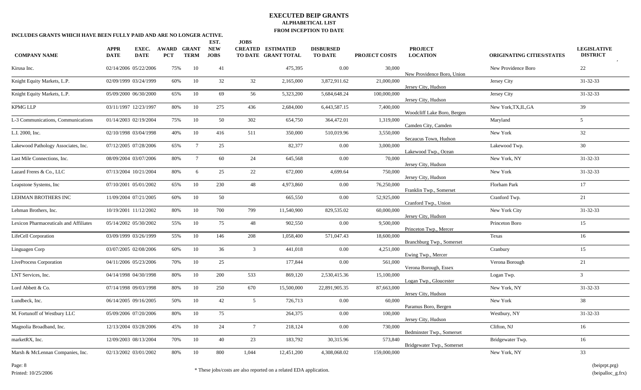| INCLUDES GRANTS WHICH HAVE BEEN FULLY PAID AND ARE NO LONGER ACTIVE. |                            |                       |                     |                      |                                   |                 |                                                 |                                    |               |                                   |                           |                                       |
|----------------------------------------------------------------------|----------------------------|-----------------------|---------------------|----------------------|-----------------------------------|-----------------|-------------------------------------------------|------------------------------------|---------------|-----------------------------------|---------------------------|---------------------------------------|
| <b>COMPANY NAME</b>                                                  | <b>APPR</b><br><b>DATE</b> | EXEC.<br><b>DATE</b>  | AWARD<br><b>PCT</b> | GRANT<br><b>TERM</b> | EST.<br><b>NEW</b><br><b>JOBS</b> | <b>JOBS</b>     | <b>CREATED ESTIMATED</b><br>TO DATE GRANT TOTAL | <b>DISBURSED</b><br><b>TO DATE</b> | PROJECT COSTS | <b>PROJECT</b><br><b>LOCATION</b> | ORIGINATING CITIES/STATES | <b>LEGISLATIVE</b><br><b>DISTRICT</b> |
| Kirusa Inc.                                                          | 02/14/2006 05/22/2006      |                       | 75%                 | 10                   | 41                                |                 | 475,395                                         | 0.00                               | 30,000        | New Providence Boro, Union        | New Providence Boro       | 22                                    |
| Knight Equity Markets, L.P.                                          | 02/09/1999 03/24/1999      |                       | 60%                 | 10                   | 32                                | 32              | 2,165,000                                       | 3,872,911.62                       | 21,000,000    | Jersey City, Hudson               | Jersey City               | 31-32-33                              |
| Knight Equity Markets, L.P.                                          | 05/09/2000 06/30/2000      |                       | 65%                 | 10                   | 69                                | 56              | 5,323,200                                       | 5,684,648.24                       | 100,000,000   | Jersey City, Hudson               | Jersey City               | 31-32-33                              |
| <b>KPMG LLP</b>                                                      | 03/11/1997 12/23/1997      |                       | 80%                 | 10                   | 275                               | 436             | 2,684,000                                       | 6,443,587.15                       | 7,400,000     | Woodcliff Lake Boro, Bergen       | New York, TX, IL, GA      | 39                                    |
| L-3 Communications, Communications                                   | 01/14/2003 02/19/2004      |                       | 75%                 | 10                   | 50                                | 302             | 654,750                                         | 364,472.01                         | 1,319,000     | Camden City, Camden               | Maryland                  | 5                                     |
| L.I. 2000, Inc.                                                      | 02/10/1998 03/04/1998      |                       | 40%                 | $10\,$               | 416                               | 511             | 350,000                                         | 510,019.96                         | 3,550,000     | Secaucus Town, Hudson             | New York                  | 32                                    |
| Lakewood Pathology Associates, Inc.                                  | 07/12/2005 07/28/2006      |                       | 65%                 | $7\overline{ }$      | 25                                |                 | 82,377                                          | 0.00                               | 3,000,000     | Lakewood Twp., Ocean              | Lakewood Twp.             | 30                                    |
| Last Mile Connections, Inc.                                          | 08/09/2004 03/07/2006      |                       | 80%                 | $7\phantom{.0}$      | 60                                | 24              | 645,568                                         | $0.00\,$                           | 70,000        | Jersey City, Hudson               | New York, NY              | 31-32-33                              |
| Lazard Freres & Co., LLC                                             | 07/13/2004 10/21/2004      |                       | 80%                 | 6                    | 25                                | 22              | 672,000                                         | 4,699.64                           | 750,000       | Jersey City, Hudson               | New York                  | 31-32-33                              |
| Leapstone Systems, Inc                                               | 07/10/2001 05/01/2002      |                       | 65%                 | 10                   | 230                               | 48              | 4,973,860                                       | $0.00\,$                           | 76,250,000    | Franklin Twp., Somerset           | Florham Park              | 17                                    |
| LEHMAN BROTHERS INC                                                  |                            | 11/09/2004 07/21/2005 | 60%                 | 10                   | 50                                |                 | 665,550                                         | 0.00                               | 52,925,000    | Cranford Twp., Union              | Cranford Twp.             | 21                                    |
| Lehman Brothers, Inc.                                                |                            | 10/19/2001 11/12/2002 | 80%                 | 10                   | 700                               | 799             | 11,540,900                                      | 829,535.02                         | 60,000,000    | Jersey City, Hudson               | New York City             | 31-32-33                              |
| Lexicon Pharmaceuticals and Affiliates                               | 05/14/2002 05/30/2002      |                       | 55%                 | 10                   | 75                                | 48              | 902,550                                         | 0.00                               | 9,500,000     | Princeton Twp., Mercer            | Princeton Boro            | 15                                    |
| LifeCell Corporation                                                 | 03/09/1999 03/26/1999      |                       | 55%                 | 10                   | 146                               | 208             | 1,058,400                                       | 571,047.43                         | 18,600,000    | Branchburg Twp., Somerset         | Texas                     | 16                                    |
| Linguagen Corp                                                       | 03/07/2005 02/08/2006      |                       | 60%                 | 10                   | 36                                | $\mathbf{3}$    | 441,018                                         | 0.00                               | 4,251,000     | Ewing Twp., Mercer                | Cranbury                  | 15                                    |
| LiveProcess Corporation                                              | 04/11/2006 05/23/2006      |                       | 70%                 | $10\,$               | 25                                |                 | 177,844                                         | 0.00                               | 561,000       | Verona Borough, Essex             | Verona Borough            | 21                                    |
| LNT Services, Inc.                                                   | 04/14/1998 04/30/1998      |                       | 80%                 | 10                   | 200                               | 533             | 869,120                                         | 2,530,415.36                       | 15,100,000    | Logan Twp., Gloucester            | Logan Twp.                | $\overline{3}$                        |
| Lord Abbett & Co.                                                    | 07/14/1998 09/03/1998      |                       | 80%                 | 10                   | 250                               | 670             | 15,500,000                                      | 22,891,905.35                      | 87,663,000    | Jersey City, Hudson               | New York, NY              | 31-32-33                              |
| Lundbeck, Inc.                                                       | 06/14/2005 09/16/2005      |                       | 50%                 | 10                   | 42                                | $5\overline{)}$ | 726,713                                         | 0.00                               | 60,000        | Paramus Boro, Bergen              | New York                  | 38                                    |
| M. Fortunoff of Westbury LLC                                         | 05/09/2006 07/20/2006      |                       | $80\%$              | 10                   | 75                                |                 | 264,375                                         | 0.00                               | 100,000       | Jersey City, Hudson               | Westbury, NY              | 31-32-33                              |
| Magnolia Broadband, Inc.                                             |                            | 12/13/2004 03/28/2006 | 45%                 | 10                   | 24                                | $7\overline{ }$ | 218,124                                         | 0.00                               | 730,000       | Bedminster Twp., Somerset         | Clifton, NJ               | 16                                    |
| marketRX, Inc.                                                       |                            | 12/09/2003 08/13/2004 | 70%                 | 10                   | 40                                | 23              | 183,792                                         | 30,315.96                          | 573,840       | Bridgewater Twp., Somerset        | Bridgewater Twp.          | 16                                    |
| Marsh & McLennan Companies, Inc.                                     | 02/13/2002 03/01/2002      |                       | 80%                 | 10                   | 800                               | 1,044           | 12,451,200                                      | 4,308,068.02                       | 159,000,000   |                                   | New York, NY              | 33                                    |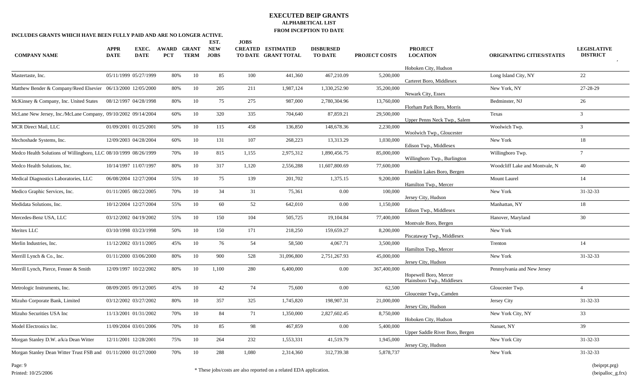| INCLUDES GRANTS WHICH HAVE BEEN FULLY PAID AND ARE NO LONGER ACTIVE. |                            |                       |                     |                             |                           |             |                                                 |                                    |                      |                                                     |                                  |                                       |
|----------------------------------------------------------------------|----------------------------|-----------------------|---------------------|-----------------------------|---------------------------|-------------|-------------------------------------------------|------------------------------------|----------------------|-----------------------------------------------------|----------------------------------|---------------------------------------|
|                                                                      |                            |                       |                     |                             | EST.                      | <b>JOBS</b> |                                                 |                                    |                      |                                                     |                                  |                                       |
| <b>COMPANY NAME</b>                                                  | <b>APPR</b><br><b>DATE</b> | EXEC.<br><b>DATE</b>  | AWARD<br><b>PCT</b> | <b>GRANT</b><br><b>TERM</b> | <b>NEW</b><br><b>JOBS</b> |             | <b>CREATED ESTIMATED</b><br>TO DATE GRANT TOTAL | <b>DISBURSED</b><br><b>TO DATE</b> | <b>PROJECT COSTS</b> | <b>PROJECT</b><br><b>LOCATION</b>                   | <b>ORIGINATING CITIES/STATES</b> | <b>LEGISLATIVE</b><br><b>DISTRICT</b> |
|                                                                      |                            |                       |                     |                             |                           |             |                                                 |                                    |                      | Hoboken City, Hudson                                |                                  |                                       |
| Mastertaste, Inc.                                                    | 05/11/1999 05/27/1999      |                       | 80%                 | 10                          | 85                        | 100         | 441,360                                         | 467,210.09                         | 5,200,000            | Carteret Boro, Middlesex                            | Long Island City, NY             | 22                                    |
| Matthew Bender & Company/Reed Elsevier 06/13/2000 12/05/2000         |                            |                       | 80%                 | 10                          | 205                       | 211         | 1,987,124                                       | 1,330,252.90                       | 35,200,000           | Newark City, Essex                                  | New York, NY                     | 27-28-29                              |
| McKinsey & Company, Inc. United States 08/12/1997 04/28/1998         |                            |                       | 80%                 | 10                          | 75                        | 275         | 987,000                                         | 2,780,304.96                       | 13,760,000           | Florham Park Boro, Morris                           | Bedminster, NJ                   | 26                                    |
| McLane New Jersey, Inc./McLane Company, 09/10/2002 09/14/2004        |                            |                       | 60%                 | 10                          | 320                       | 335         | 704,640                                         | 87,859.21                          | 29,500,000           | Upper Penns Neck Twp., Salem                        | Texas                            | $\mathbf{3}$                          |
| MCR Direct Mail, LLC                                                 | 01/09/2001 01/25/2001      |                       | 50%                 | 10                          | 115                       | 458         | 136,850                                         | 148,678.36                         | 2,230,000            | Woolwich Twp., Gloucester                           | Woolwich Twp.                    | $\mathfrak{Z}$                        |
| Mechoshade Systems, Inc.                                             |                            | 12/09/2003 04/28/2004 | 60%                 | 10                          | 131                       | 107         | 268,223                                         | 13,313.29                          | 1,030,000            | Edison Twp., Middlesex                              | New York                         | 18                                    |
| Medco Health Solutions of Willingboro, LLC 08/10/1999 08/26/1999     |                            |                       | 70%                 | 10                          | 815                       | 1,155       | 2,975,312                                       | 1,890,456.75                       | 85,000,000           | Willingboro Twp., Burlington                        | Willingboro Twp.                 | $7\overline{ }$                       |
| Medco Health Solutions, Inc.                                         |                            | 10/14/1997 11/07/1997 | 80%                 | 10                          | 317                       | 1,120       | 2,556,288                                       | 11,607,800.69                      | 77,600,000           | Franklin Lakes Boro, Bergen                         | Woodcliff Lake and Montvale, N   | 40                                    |
| Medical Diagnostics Laboratories, LLC                                | 06/08/2004 12/27/2004      |                       | 55%                 | 10                          | 75                        | 139         | 201,702                                         | 1,375.15                           | 9,200,000            | Hamilton Twp., Mercer                               | Mount Laurel                     | 14                                    |
| Medico Graphic Services, Inc.                                        | 01/11/2005 08/22/2005      |                       | 70%                 | 10                          | 34                        | 31          | 75,361                                          | 0.00                               | 100,000              | Jersey City, Hudson                                 | New York                         | 31-32-33                              |
| Medidata Solutions, Inc.                                             |                            | 10/12/2004 12/27/2004 | 55%                 | 10                          | 60                        | 52          | 642,010                                         | 0.00                               | 1,150,000            | Edison Twp., Middlesex                              | Manhattan, NY                    | 18                                    |
| Mercedes-Benz USA, LLC                                               | 03/12/2002 04/19/2002      |                       | 55%                 | 10                          | 150                       | 104         | 505,725                                         | 19,104.84                          | 77,400,000           | Montvale Boro, Bergen                               | Hanover, Maryland                | 30                                    |
| Meritex LLC                                                          | 03/10/1998 03/23/1998      |                       | 50%                 | 10                          | 150                       | 171         | 218,250                                         | 159,659.27                         | 8,200,000            | Piscataway Twp., Middlesex                          | New York                         |                                       |
| Merlin Industries, Inc.                                              |                            | 11/12/2002 03/11/2005 | 45%                 | 10                          | 76                        | 54          | 58,500                                          | 4,067.71                           | 3,500,000            | Hamilton Twp., Mercer                               | Trenton                          | 14                                    |
| Merrill Lynch & Co., Inc.                                            | 01/11/2000 03/06/2000      |                       | 80%                 | 10                          | 900                       | 528         | 31,096,800                                      | 2,751,267.93                       | 45,000,000           | Jersey City, Hudson                                 | New York                         | $31 - 32 - 33$                        |
| Merrill Lynch, Pierce, Fenner & Smith                                |                            | 12/09/1997 10/22/2002 | 80%                 | 10                          | 1,100                     | 280         | 6,400,000                                       | 0.00                               | 367,400,000          | Hopewell Boro, Mercer<br>Plainsboro Twp., Middlesex | Pennsylvania and New Jersey      |                                       |
| Metrologic Instruments, Inc.                                         | 08/09/2005 09/12/2005      |                       | 45%                 | 10                          | 42                        | 74          | 75,600                                          | 0.00                               | 62,500               | Gloucester Twp., Camden                             | Gloucester Twp.                  | $\Delta$                              |
| Mizuho Corporate Bank, Limited                                       | 03/12/2002 03/27/2002      |                       | 80%                 | 10                          | 357                       | 325         | 1,745,820                                       | 198,907.31                         | 21,000,000           | Jersey City, Hudson                                 | Jersey City                      | 31-32-33                              |
| Mizuho Securities USA Inc                                            |                            | 11/13/2001 01/31/2002 | 70%                 | 10                          | 84                        | 71          | 1,350,000                                       | 2,827,602.45                       | 8,750,000            | Hoboken City, Hudson                                | New York City, NY                | 33                                    |
| Model Electronics Inc.                                               |                            | 11/09/2004 03/01/2006 | 70%                 | 10                          | 85                        | 98          | 467,859                                         | 0.00                               | 5,400,000            | Upper Saddle River Boro, Bergen                     | Nanuet, NY                       | 39                                    |
| Morgan Stanley D.W. a/k/a Dean Witter                                | 12/11/2001 12/28/2001      |                       | 75%                 | 10                          | 264                       | 232         | 1,553,331                                       | 41,519.79                          | 1,945,000            | Jersey City, Hudson                                 | New York City                    | 31-32-33                              |
| Morgan Stanley Dean Witter Trust FSB and 01/11/2000 01/27/2000       |                            |                       | 70%                 | 10                          | 288                       | 1,080       | 2,314,360                                       | 312,739.38                         | 5,878,737            |                                                     | New York                         | 31-32-33                              |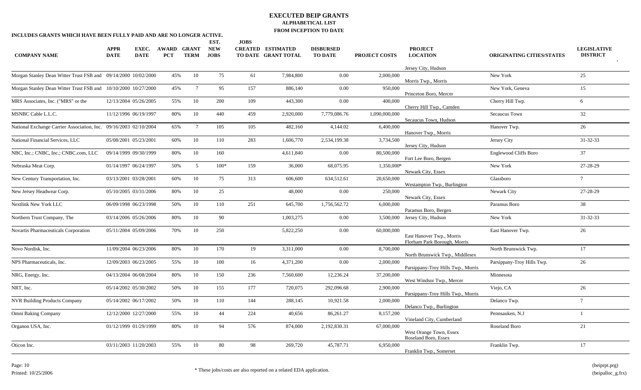| <b>COMPANY NAME</b>                                            | <b>APPR</b><br><b>DATE</b> | EXEC.<br><b>DATE</b> | <b>AWARD</b><br><b>PCT</b> | <b>GRANT</b><br><b>TERM</b> | EST.<br><b>NEW</b><br><b>JOBS</b> | <b>JOBS</b> | <b>CREATED ESTIMATED</b><br>TO DATE GRANT TOTAL | <b>DISBURSED</b><br><b>TO DATE</b> | <b>PROJECT COSTS</b> | <b>PROJECT</b><br><b>LOCATION</b>                         | <b>ORIGINATING CITIES/STATES</b> | <b>LEGISLATIVE</b><br><b>DISTRICT</b> |
|----------------------------------------------------------------|----------------------------|----------------------|----------------------------|-----------------------------|-----------------------------------|-------------|-------------------------------------------------|------------------------------------|----------------------|-----------------------------------------------------------|----------------------------------|---------------------------------------|
| Morgan Stanley Dean Witter Trust FSB and 09/14/2000 10/02/2000 |                            |                      | 45%                        | 10                          | 75                                | 61          | 7,984,800                                       | 0.00                               | 2,000,000            | Jersey City, Hudson<br>Morris Twp., Morris                | New York                         | 25                                    |
| Morgan Stanley Dean Witter Trust FSB and 10/10/2000 10/27/2000 |                            |                      | 45%                        | $7\phantom{.0}$             | 95                                | 157         | 886,140                                         | 0.00                               | 950,000              | Princeton Boro, Mercer                                    | New York, Geneva                 | 15                                    |
| MRS Associates, Inc. ("MRS" or the                             | 12/13/2004 05/26/2005      |                      | 55%                        | 10                          | 200                               | 109         | 443,300                                         | 0.00                               | 400,000              | Cherry Hill Twp., Camden                                  | Cherry Hill Twp.                 | 6                                     |
| MSNBC Cable L.L.C.                                             | 11/12/1996 06/19/1997      |                      | 80%                        | 10                          | 440                               | 459         | 2,920,000                                       | 7,779,086.76                       | 1,090,000,000        | Secaucus Town, Hudson                                     | Secaucus Town                    | 32                                    |
| National Exchange Carrier Association, Inc.                    | 09/16/2003 02/10/2004      |                      | 65%                        | $7\overline{ }$             | 105                               | 105         | 482,160                                         | 4,144.02                           | 6,400,000            | Hanover Twp., Morris                                      | Hanover Twp.                     | 26                                    |
| National Financial Services, LLC                               | 05/08/2001 05/23/2001      |                      | 60%                        | 10                          | 110                               | 283         | 1,606,770                                       | 2,534,199.38                       | 3,734,500            | Jersey City, Hudson                                       | Jersey City                      | 31-32-33                              |
| NBC, Inc.; CNBC, Inc.; CNBC.com, LLC                           | 09/14/1999 09/30/1999      |                      | 80%                        | 10                          | 160                               |             | 4,611,840                                       | 0.00                               | 80,500,000           | Fort Lee Boro, Bergen                                     | Englewood Cliffs Boro            | 37                                    |
| Nebraska Meat Corp.                                            | 01/14/1997 06/24/1997      |                      | 50%                        | $5\overline{)}$             | $100*$                            | 159         | 36,000                                          | 68,075.95                          | 1,350,000*           | Newark City, Essex                                        | New York                         | 27-28-29                              |
| New Century Transportation, Inc.                               | 03/13/2001 03/28/2001      |                      | 60%                        | 10                          | 75                                | 313         | 606,600                                         | 634,512.61                         | 20.650,000           | Westampton Twp., Burlington                               | Glassboro                        | $7\overline{ }$                       |
| New Jersey Headwear Corp.                                      | 05/10/2005 03/31/2006      |                      | 80%                        | 10                          | 25                                |             | 48,000                                          | 0.00                               | 250,000              | Newark City, Essex                                        | Newark City                      | 27-28-29                              |
| Nextlink New York LLC                                          | 06/09/1998 06/23/1998      |                      | 50%                        | 10                          | 110                               | 251         | 645,700                                         | 1,756,562.72                       | 6.000.000            | Paramus Boro, Bergen                                      | Paramus Boro                     | 38                                    |
| Northern Trust Company, The                                    | 03/14/2006 05/26/2006      |                      | 80%                        | 10                          | 90                                |             | 1,003,275                                       | 0.00                               | 3,500,000            | Jersey City, Hudson                                       | New York                         | 31-32-33                              |
| Novartis Pharmaceuticals Corporation                           | 05/11/2004 05/09/2006      |                      | 70%                        | 10                          | 250                               |             | 5,822,250                                       | 0.00                               | 60,000,000           | East Hanover Twp., Morris<br>Florham Park Borough, Morris | East Hanover Twp.                | 26                                    |
| Novo Nordisk, Inc.                                             | 11/09/2004 06/23/2006      |                      | 80%                        | 10                          | 170                               | 19          | 3,311,000                                       | 0.00                               | 8,700,000            | North Brunswick Twp., Middlesex                           | North Brunswick Twp.             | 17                                    |
| NPS Pharmaceuticals, Inc.                                      | 12/09/2003 06/23/2005      |                      | 55%                        | 10                          | 100                               | 16          | 4,371,200                                       | 0.00                               | 2,000,000            | Parsippany-Troy Hills Twp., Morris                        | Parsippany-Troy Hills Twp.       | 26                                    |
| NRG, Energy, Inc.                                              | 04/13/2004 06/08/2004      |                      | 80%                        | 10                          | 150                               | 236         | 7,560,600                                       | 12,236.24                          | 37,200,000           | West Windsor Twp., Mercer                                 | Minnesota                        |                                       |
| NRT, Inc.                                                      | 05/14/2002 05/30/2002      |                      | 50%                        | 10                          | 155                               | 177         | 720,075                                         | 292,096.68                         | 2,900,000            | Parsippany-Troy Hills Twp., Morris                        | Viejo, CA                        | 26                                    |
| <b>NVR Building Products Company</b>                           | 05/14/2002 06/17/2002      |                      | 50%                        | 10                          | 110                               | 144         | 288,145                                         | 10,921.58                          | 2,000,000            | Delanco Twp., Burlington                                  | Delanco Twp.                     | $\overline{7}$                        |
| Omni Baking Company                                            | 12/12/2000 12/27/2000      |                      | 55%                        | 10                          | 44                                | 224         | 40,656                                          | 86,261.27                          | 8,157,200            | Vineland City, Cumberland                                 | Pennsauken, N.J                  |                                       |
| Organon USA, Inc.                                              | 01/12/1999 01/29/1999      |                      | 80%                        | 10                          | 94                                | 576         | 874,000                                         | 2,192,830.31                       | 67,000,000           | West Orange Town, Essex<br>Roseland Boro, Essex           | Roseland Boro                    | 21                                    |
| Oticon Inc.                                                    | 03/11/2003 11/20/2003      |                      | 55%                        | 10                          | 80                                | 98          | 269,720                                         | 45,787.71                          | 6.950,000            | Franklin Twp., Somerset                                   | Franklin Twp.                    | 17                                    |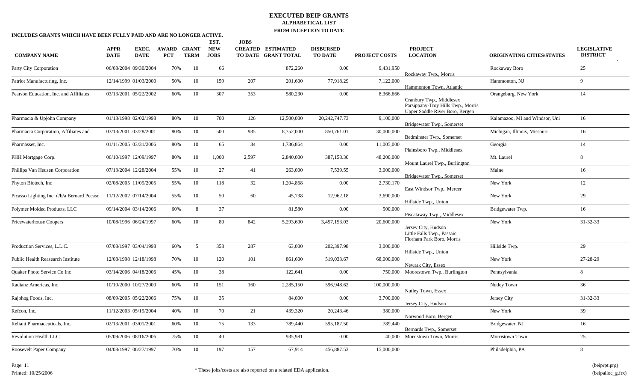| INCLUDES GRANTS WHICH HAVE BEEN FULLY PAID AND ARE NO LONGER ACTIVE. |                       |                       |                     |                             |                           |             |                                                 | <b>FROM HACEL HOR TO DATE</b>      |                      |                                                                                                   |                                  |                                       |
|----------------------------------------------------------------------|-----------------------|-----------------------|---------------------|-----------------------------|---------------------------|-------------|-------------------------------------------------|------------------------------------|----------------------|---------------------------------------------------------------------------------------------------|----------------------------------|---------------------------------------|
|                                                                      |                       |                       |                     |                             | EST.                      | <b>JOBS</b> |                                                 |                                    |                      |                                                                                                   |                                  |                                       |
| <b>COMPANY NAME</b>                                                  | APPR<br><b>DATE</b>   | EXEC.<br><b>DATE</b>  | AWARD<br><b>PCT</b> | <b>GRANT</b><br><b>TERM</b> | <b>NEW</b><br><b>JOBS</b> |             | <b>CREATED ESTIMATED</b><br>TO DATE GRANT TOTAL | <b>DISBURSED</b><br><b>TO DATE</b> | <b>PROJECT COSTS</b> | <b>PROJECT</b><br><b>LOCATION</b>                                                                 | <b>ORIGINATING CITIES/STATES</b> | <b>LEGISLATIVE</b><br><b>DISTRICT</b> |
| Party City Corporation                                               | 06/08/2004 09/30/2004 |                       | 70%                 | 10                          | 66                        |             | 872,260                                         | 0.00                               | 9,431,950            | Rockaway Twp., Morris                                                                             | Rockaway Boro                    | 25                                    |
| Patriot Manufacturing, Inc.                                          |                       | 12/14/1999 01/03/2000 | 50%                 | 10                          | 159                       | 207         | 201,600                                         | 77,918.29                          | 7,122,000            | Hammonton Town, Atlantic                                                                          | Hammonton, NJ                    | $\mathbf{Q}$                          |
| Pearson Education, Inc. and Affiliates                               | 03/13/2001 05/22/2002 |                       | 60%                 | 10                          | 307                       | 353         | 580,230                                         | 0.00                               | 8,366,666            | Cranbury Twp., Middlesex<br>Parsippany-Troy Hills Twp., Morris<br>Upper Saddle River Boro, Bergen | Orangeburg, New York             | 14                                    |
| Pharmacia & Upjohn Company                                           | 01/13/1998 02/02/1998 |                       | 80%                 | 10                          | 700                       | 126         | 12,500,000                                      | 20, 242, 747. 73                   | 9,100,000            | Bridgewater Twp., Somerset                                                                        | Kalamazoo, MI and Windsor, Uni   | 16                                    |
| Pharmacia Corporation, Affiliates and                                | 03/13/2001 03/28/2001 |                       | 80%                 | 10                          | 500                       | 935         | 8,752,000                                       | 850,761.01                         | 30,000,000           | Bedminster Twp., Somerset                                                                         | Michigan, Illinois, Missouri     | 16                                    |
| Pharmasset. Inc.                                                     | 01/11/2005 03/31/2006 |                       | 80%                 | 10                          | 65                        | 34          | 1,736,864                                       | 0.00                               | 11,005,000           | Plainsboro Twp., Middlesex                                                                        | Georgia                          | 14                                    |
| PHH Mortgage Corp.                                                   | 06/10/1997 12/09/1997 |                       | 80%                 | 10                          | 1,000                     | 2,597       | 2,840,000                                       | 387,158.30                         | 48,200,000           | Mount Laurel Twp., Burlington                                                                     | Mt. Laurel                       | 8                                     |
| Phillips Van Heusen Corporation                                      | 07/13/2004 12/28/2004 |                       | 55%                 | 10                          | 27                        | 41          | 263,000                                         | 7,539.55                           | 3,000,000            | Bridgewater Twp., Somerset                                                                        | Maine                            | 16                                    |
| Phyton Biotech, Inc                                                  | 02/08/2005 11/09/2005 |                       | 55%                 | 10                          | 118                       | 32          | 1,204,868                                       | 0.00                               | 2,730,170            | East Windsor Twp., Mercer                                                                         | New York                         | 12                                    |
| Picasso Lighting Inc. d/b/a Bernard Pecaso                           | 11/12/2002 07/14/2004 |                       | 55%                 | 10                          | 50                        | 60          | 45,738                                          | 12,962.18                          | 3,690,000            | Hillside Twp., Union                                                                              | New York                         | 29                                    |
| Polymer Molded Products, LLC                                         | 09/14/2004 03/14/2006 |                       | 60%                 | 8                           | 37                        |             | 81,580                                          | 0.00                               | 500,000              | Piscataway Twp., Middlesex                                                                        | Bridgewater Twp.                 | 16                                    |
| Pricewaterhouse Coopers                                              |                       | 10/08/1996 06/24/1997 | 60%                 | 10                          | 80                        | 842         | 5,293,600                                       | 3,457,153.03                       | 20,600,000           | Jersey City, Hudson<br>Little Falls Twp., Passaic<br>Florham Park Boro, Morris                    | New York                         | $31 - 32 - 33$                        |
| Production Services, L.L.C.                                          | 07/08/1997 03/04/1998 |                       | 60%                 | 5                           | 358                       | 287         | 63,000                                          | 202,397.98                         | 3,000,000            | Hillside Twp., Union                                                                              | Hillside Twp.                    | 29                                    |
| Public Health Reasearch Institute                                    |                       | 12/08/1998 12/18/1998 | 70%                 | 10                          | 120                       | 101         | 861,600                                         | 519,033.67                         | 68,000,000           | Newark City, Essex                                                                                | New York                         | 27-28-29                              |
| Quaker Photo Service Co Inc                                          | 03/14/2006 04/18/2006 |                       | 45%                 | 10                          | 38                        |             | 122,641                                         | 0.00                               |                      | 750,000 Moorestown Twp., Burlington                                                               | Pennsylvania                     | 8                                     |
| Radianz Americas, Inc.                                               |                       | 10/10/2000 10/27/2000 | 60%                 | 10                          | 151                       | 160         | 2,285,150                                       | 596,948.62                         | 100,000,000          | Nutley Town, Essex                                                                                | Nutley Town                      | 36                                    |
| Rajbhog Foods, Inc.                                                  | 08/09/2005 05/22/2006 |                       | 75%                 | 10                          | 35                        |             | 84,000                                          | 0.00                               | 3,700,000            | Jersey City, Hudson                                                                               | Jersey City                      | $31 - 32 - 33$                        |
| Refcon. Inc.                                                         | 11/12/2003 05/19/2004 |                       | 40%                 | 10                          | 70                        | 21          | 439,320                                         | 20,243.46                          | 380,000              | Norwood Boro, Bergen                                                                              | New York                         | 39                                    |
| Reliant Pharmaceuticals, Inc.                                        | 02/13/2001 03/01/2001 |                       | 60%                 | 10                          | 75                        | 133         | 789,440                                         | 595,187.50                         | 789,440              | Bernards Twp., Somerset                                                                           | Bridgewater, NJ                  | 16                                    |
| <b>Revolution Health LLC</b>                                         | 05/09/2006 08/16/2006 |                       | 75%                 | 10                          | 40                        |             | 935,981                                         | 0.00                               | 40,000               | Morristown Town, Morris                                                                           | Morristown Town                  | 25                                    |
| Roosevelt Paper Company                                              | 04/08/1997 06/27/1997 |                       | 70%                 | 10                          | 197                       | 157         | 67,914                                          | 456,887.53                         | 15,000,000           |                                                                                                   | Philadelphia, PA                 | 8                                     |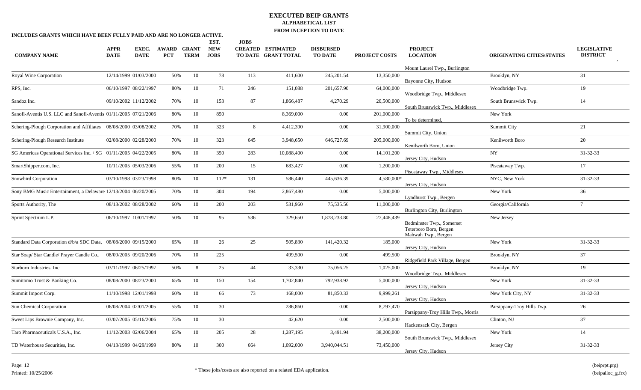| <b>COMPANY NAME</b>                                                                     | <b>APPR</b><br><b>DATE</b> | EXEC.<br><b>DATE</b> | <b>AWARD</b><br><b>PCT</b> | <b>GRANT</b><br><b>TERM</b> | EST.<br><b>NEW</b><br><b>JOBS</b> | <b>JOBS</b> | <b>CREATED ESTIMATED</b><br>TO DATE GRANT TOTAL | <b>DISBURSED</b><br><b>TO DATE</b> | <b>PROJECT COSTS</b>    | <b>PROJECT</b><br><b>LOCATION</b><br>Mount Laurel Twp., Burlington         | <b>ORIGINATING CITIES/STATES</b> | <b>LEGISLATIVE</b><br><b>DISTRICT</b> |
|-----------------------------------------------------------------------------------------|----------------------------|----------------------|----------------------------|-----------------------------|-----------------------------------|-------------|-------------------------------------------------|------------------------------------|-------------------------|----------------------------------------------------------------------------|----------------------------------|---------------------------------------|
| Royal Wine Corporation                                                                  | 12/14/1999 01/03/2000      |                      | 50%                        | 10                          | 78                                | 113         | 411,600                                         | 245, 201.54                        | 13,350,000              | Bayonne City, Hudson                                                       | Brooklyn, NY                     | 31                                    |
| RPS, Inc.                                                                               | 06/10/1997 08/22/1997      |                      | 80%                        | 10                          | 71                                | 246         | 151,088                                         | 201,657.90                         | 64,000,000              | Woodbridge Twp., Middlesex                                                 | Woodbridge Twp.                  | 19                                    |
| Sandoz Inc.                                                                             | 09/10/2002 11/12/2002      |                      | 70%                        | 10                          | 153                               | 87          | 1,866,487                                       | 4,270.29                           | 20,500,000              | South Brunswick Twp., Middlesex                                            | South Brunswick Twp.             | 14                                    |
| Sanofi-Aventis U.S. LLC and Sanofi-Aventis 01/11/2005 07/21/2006                        |                            |                      | 80%                        | 10                          | 850                               |             | 8,369,000                                       | 0.00                               | 201,000,000             | To be determined,                                                          | New York                         |                                       |
| Schering-Plough Corporation and Affiliates 08/08/2000 03/08/2002                        |                            |                      | 70%                        | 10                          | 323                               | 8           | 4,412,390                                       | $0.00\,$                           | 31,900,000              | Summit City, Union                                                         | Summit City                      | 21                                    |
| Schering-Plough Research Institute                                                      | 02/08/2000 02/28/2000      |                      | 70%                        | 10                          | 323                               | 645         | 3,948,650                                       | 646,727.69                         | 205,000,000             | Kenilworth Boro, Union                                                     | Kenilworth Boro                  | 20                                    |
| SG Americas Operational Services Inc. / SG 01/11/2005 04/22/2005                        |                            |                      | 80%                        | 10                          | 350                               | 283         | 10,088,400                                      | 0.00                               | 14, 101, 200            | Jersey City, Hudson                                                        | NY.                              | 31-32-33                              |
| SmartShipper.com, Inc.                                                                  | 10/11/2005 05/03/2006      |                      | 55%                        | 10                          | 200                               | 15          | 683,427                                         | 0.00                               | 1,200,000               | Piscataway Twp., Middlesex                                                 | Piscataway Twp.                  | 17                                    |
| <b>Snowbird Corporation</b>                                                             | 03/10/1998 03/23/1998      |                      | 80%                        | 10<br>10                    | $112*$<br>304                     | 131         | 586,440                                         | 445,636.39                         | 4,580,000*<br>5,000,000 | Jersey City, Hudson                                                        | NYC, New York<br>New York        | $31 - 32 - 33$                        |
| Sony BMG Music Entertainment, a Delaware 12/13/2004 06/20/2005<br>Sports Authority, The | 08/13/2002 08/28/2002      |                      | 70%<br>60%                 | 10                          | 200                               | 194<br>203  | 2,867,480<br>531,960                            | $0.00\,$<br>75,535.56              | 11,000,000              | Lyndhurst Twp., Bergen                                                     | Georgia/California               | 36<br>$7\overline{ }$                 |
| Sprint Spectrum L.P.                                                                    | 06/10/1997 10/01/1997      |                      | 50%                        | 10                          | 95                                | 536         | 329,650                                         | 1,878,233.80                       | 27,448,439              | Burlington City, Burlington                                                | New Jersey                       |                                       |
|                                                                                         |                            |                      |                            |                             |                                   |             |                                                 |                                    |                         | Bedminster Twp., Somerset<br>Teterboro Boro, Bergen<br>Mahwah Twp., Bergen |                                  |                                       |
| Standard Data Corporation d/b/a SDC Data, 08/08/2000 09/15/2000                         |                            |                      | 65%                        | 10                          | 26                                | 25          | 505,830                                         | 141,420.32                         | 185,000                 | Jersey City, Hudson                                                        | New York                         | $31 - 32 - 33$                        |
| Star Soap/ Star Candle/ Prayer Candle Co., 08/09/2005 09/20/2006                        |                            |                      | 70%                        | 10                          | 225                               |             | 499,500                                         | 0.00                               | 499,500                 | Ridgefield Park Village, Bergen                                            | Brooklyn, NY                     | 37                                    |
| Starborn Industries, Inc.                                                               | 03/11/1997 06/25/1997      |                      | 50%                        | 8                           | 25                                | 44          | 33,330                                          | 75,056.25                          | 1,025,000               | Woodbridge Twp., Middlesex                                                 | Brooklyn, NY                     | 19                                    |
| Sumitomo Trust & Banking Co.                                                            | 08/08/2000 08/23/2000      |                      | 65%                        | 10                          | 150                               | 154         | 1,702,840                                       | 792,938.92                         | 5,000,000               | Jersey City, Hudson                                                        | New York                         | $31 - 32 - 33$                        |
| Summit Import Corp.                                                                     | 11/10/1998 12/01/1998      |                      | 60%                        | 10                          | 66                                | 73          | 168,000                                         | 81,850.33                          | 9,999,261               | Jersey City, Hudson                                                        | New York City, NY                | $31 - 32 - 33$                        |
| <b>Sun Chemical Corporation</b>                                                         | 06/08/2004 02/01/2005      |                      | 55%                        | 10                          | 30                                |             | 286,860                                         | 0.00                               | 8,797,470               | Parsippany-Troy Hills Twp., Morris                                         | Parsippany-Troy Hills Twp.       | 26                                    |
| Sweet Lips Brownie Company, Inc.                                                        | 03/07/2005 05/16/2006      |                      | 75%                        | 10                          | 30                                |             | 42,620                                          | 0.00                               | 2,500,000               | Hackensack City, Bergen                                                    | Clinton, NJ                      | 37                                    |
| Taro Pharmaceuticals U.S.A., Inc.                                                       | 11/12/2003 02/06/2004      |                      | 65%                        | 10                          | 205                               | 28          | 1,287,195                                       | 3,491.94                           | 38,200,000              | South Brunswick Twp., Middlesex                                            | New York                         | 14                                    |
| TD Waterhouse Securities, Inc.                                                          | 04/13/1999 04/29/1999      |                      | 80%                        | 10                          | 300                               | 664         | 1,092,000                                       | 3,940,044.51                       | 73,450,000              | Jersey City, Hudson                                                        | Jersey City                      | $31 - 32 - 33$                        |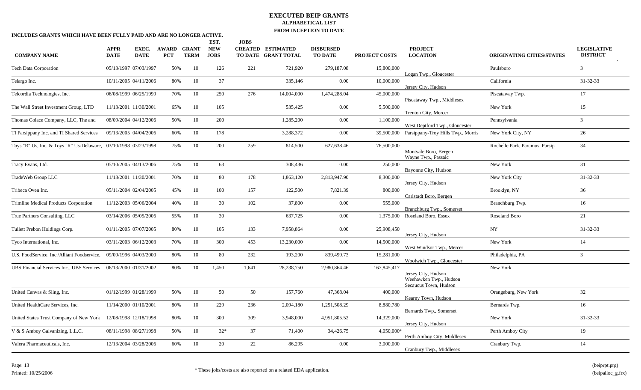| INCLUDES GRANTS WHICH HAVE BEEN FULLY PAID AND ARE NO LONGER ACTIVE. |                            |                       |                     |                             |                           |             | I ROM INCEI TION TO DATE                        |                                    |                      |                                                                        |                                  |                                       |
|----------------------------------------------------------------------|----------------------------|-----------------------|---------------------|-----------------------------|---------------------------|-------------|-------------------------------------------------|------------------------------------|----------------------|------------------------------------------------------------------------|----------------------------------|---------------------------------------|
|                                                                      |                            |                       |                     |                             | EST.                      | <b>JOBS</b> |                                                 |                                    |                      |                                                                        |                                  |                                       |
| <b>COMPANY NAME</b>                                                  | <b>APPR</b><br><b>DATE</b> | EXEC.<br><b>DATE</b>  | AWARD<br><b>PCT</b> | <b>GRANT</b><br><b>TERM</b> | <b>NEW</b><br><b>JOBS</b> |             | <b>CREATED ESTIMATED</b><br>TO DATE GRANT TOTAL | <b>DISBURSED</b><br><b>TO DATE</b> | <b>PROJECT COSTS</b> | <b>PROJECT</b><br><b>LOCATION</b>                                      | <b>ORIGINATING CITIES/STATES</b> | <b>LEGISLATIVE</b><br><b>DISTRICT</b> |
| <b>Tech Data Corporation</b>                                         | 05/13/1997 07/03/1997      |                       | 50%                 | 10                          | 126                       | 221         | 721,920                                         | 279,187.08                         | 15,800,000           | Logan Twp., Gloucester                                                 | Paulsboro                        | 3                                     |
| Telargo Inc.                                                         | 10/11/2005 04/11/2006      |                       | 80%                 | 10                          | 37                        |             | 335,146                                         | 0.00                               | 10,000,000           | Jersey City, Hudson                                                    | California                       | 31-32-33                              |
| Telcordia Technologies, Inc.                                         | 06/08/1999 06/25/1999      |                       | 70%                 | 10                          | 250                       | 276         | 14,004,000                                      | 1,474,288.04                       | 45,000,000           | Piscataway Twp., Middlesex                                             | Piscataway Twp.                  | 17                                    |
| The Wall Street Investment Group, LTD                                | 11/13/2001 11/30/2001      |                       | 65%                 | 10                          | 105                       |             | 535,425                                         | 0.00                               | 5,500,000            | Trenton City, Mercer                                                   | New York                         | 15                                    |
| Thomas Colace Company, LLC, The and                                  | 08/09/2004 04/12/2006      |                       | 50%                 | 10                          | 200                       |             | 1,285,200                                       | $0.00\,$                           | 1,100,000            | West Deptford Twp., Gloucester                                         | Pennsylvania                     | $\overline{3}$                        |
| TI Parsippany Inc. and TI Shared Services                            | 09/13/2005 04/04/2006      |                       | 60%                 | 10                          | 178                       |             | 3,288,372                                       | 0.00                               | 39,500,000           | Parsippany-Troy Hills Twp., Morris                                     | New York City, NY                | 26                                    |
| Toys "R" Us, Inc. & Toys "R" Us-Delaware, 03/10/1998 03/23/1998      |                            |                       | 75%                 | $10\,$                      | 200                       | 259         | 814,500                                         | 627,638.46                         | 76,500,000           | Montvale Boro, Bergen<br>Wayne Twp., Passaic                           | Rochelle Park, Paramus, Parsip   | 34                                    |
| Tracy Evans, Ltd.                                                    | 05/10/2005 04/13/2006      |                       | 75%                 | 10                          | 63                        |             | 308,436                                         | 0.00                               | 250,000              | Bayonne City, Hudson                                                   | New York                         | 31                                    |
| TradeWeb Group LLC                                                   | 11/13/2001 11/30/2001      |                       | 70%                 | 10                          | 80                        | 178         | 1,863,120                                       | 2,813,947.90                       | 8,300,000            | Jersey City, Hudson                                                    | New York City                    | 31-32-33                              |
| Tribeca Oven Inc.                                                    | 05/11/2004 02/04/2005      |                       | 45%                 | 10                          | 100                       | 157         | 122,500                                         | 7,821.39                           | 800,000              | Carlstadt Boro, Bergen                                                 | Brooklyn, NY                     | 36                                    |
| Trimline Medical Products Corporation                                | 11/12/2003 05/06/2004      |                       | 40%                 | 10                          | 30                        | 102         | 37,800                                          | 0.00                               | 555,000              | Branchburg Twp., Somerset                                              | Branchburg Twp.                  | 16                                    |
| True Partners Consulting, LLC                                        | 03/14/2006 05/05/2006      |                       | 55%                 | 10                          | 30                        |             | 637,725                                         | $0.00\,$                           | 1,375,000            | Roseland Boro, Essex                                                   | Roseland Boro                    | 21                                    |
| Tullett Prebon Holdings Corp.                                        | 01/11/2005 07/07/2005      |                       | $80\%$              | 10                          | 105                       | 133         | 7,958,864                                       | $0.00\,$                           | 25,908,450           | Jersey City, Hudson                                                    | <b>NY</b>                        | $31 - 32 - 33$                        |
| Tyco International, Inc.                                             | 03/11/2003 06/12/2003      |                       | 70%                 | 10                          | 300                       | 453         | 13,230,000                                      | 0.00                               | 14,500,000           | West Windsor Twp., Mercer                                              | New York                         | 14                                    |
| U.S. FoodService, Inc./Alliant Foodservice,                          | 09/09/1996 04/03/2000      |                       | 80%                 | 10                          | 80                        | 232         | 193,200                                         | 839,499.73                         | 15,281,000           | Woolwich Twp., Gloucester                                              | Philadelphia, PA                 | $\overline{3}$                        |
| UBS Financial Services Inc., UBS Services                            | 06/13/2000 01/31/2002      |                       | 80%                 | 10                          | 1,450                     | 1,641       | 28,238,750                                      | 2,980,864.46                       | 167,845,417          | Jersey City, Hudson<br>Weehawken Twp., Hudson<br>Secaucus Town, Hudson | New York                         |                                       |
| United Canvas & Sling, Inc.                                          | 01/12/1999 01/28/1999      |                       | 50%                 | 10                          | 50                        | 50          | 157,760                                         | 47,368.04                          | 400,000              | Kearny Town, Hudson                                                    | Orangeburg, New York             | 32                                    |
| United HealthCare Services, Inc.                                     | 11/14/2000 01/10/2001      |                       | 80%                 | 10                          | 229                       | 236         | 2,094,180                                       | 1,251,508.29                       | 8,880,780            | Bernards Twp., Somerset                                                | Bernards Twp.                    | 16                                    |
| United States Trust Company of New York                              | 12/08/1998 12/18/1998      |                       | 80%                 | 10                          | 300                       | 309         | 3,948,000                                       | 4,951,805.52                       | 14,329,000           | Jersey City, Hudson                                                    | New York                         | $31 - 32 - 33$                        |
| V & S Amboy Galvanizing, L.L.C.                                      | 08/11/1998 08/27/1998      |                       | 50%                 | 10                          | $32*$                     | 37          | 71,400                                          | 34,426.75                          | 4,050,000*           | Perth Amboy City, Middlesex                                            | Perth Amboy City                 | 19                                    |
| Valera Pharmaceuticals, Inc.                                         |                            | 12/13/2004 03/28/2006 | 60%                 | 10                          | 20                        | 22          | 86,295                                          | 0.00                               | 3,000,000            | Cranbury Twp., Middlesex                                               | Cranbury Twp.                    | 14                                    |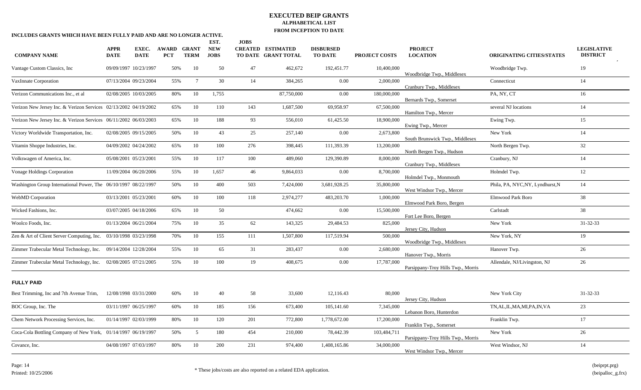| INCLUDES GRANTS WHICH HAVE BEEN FULLY PAID AND ARE NO LONGER ACTIVE. |                            |                      |                     |                      |                           |             |                                                 | <b>FROM EVEL HOW TO DATE</b>       |                      |                                    |                                  |                                       |
|----------------------------------------------------------------------|----------------------------|----------------------|---------------------|----------------------|---------------------------|-------------|-------------------------------------------------|------------------------------------|----------------------|------------------------------------|----------------------------------|---------------------------------------|
|                                                                      |                            |                      |                     |                      | EST.                      | <b>JOBS</b> |                                                 |                                    |                      |                                    |                                  |                                       |
| <b>COMPANY NAME</b>                                                  | <b>APPR</b><br><b>DATE</b> | EXEC.<br><b>DATE</b> | AWARD<br><b>PCT</b> | GRANT<br><b>TERM</b> | <b>NEW</b><br><b>JOBS</b> |             | <b>CREATED ESTIMATED</b><br>TO DATE GRANT TOTAL | <b>DISBURSED</b><br><b>TO DATE</b> | <b>PROJECT COSTS</b> | <b>PROJECT</b><br><b>LOCATION</b>  | <b>ORIGINATING CITIES/STATES</b> | <b>LEGISLATIVE</b><br><b>DISTRICT</b> |
| Vantage Custom Classics, Inc.                                        | 09/09/1997 10/23/1997      |                      | 50%                 | 10                   | 50                        | 47          | 462,672                                         | 192,451.77                         | 10,400,000           | Woodbridge Twp., Middlesex         | Woodbridge Twp.                  | 19                                    |
| VaxInnate Corporation                                                | 07/13/2004 09/23/2004      |                      | 55%                 | $7\overline{ }$      | 30                        | 14          | 384,265                                         | 0.00                               | 2,000,000            | Cranbury Twp., Middlesex           | Connecticut                      | 14                                    |
| Verizon Communications Inc., et al                                   | 02/08/2005 10/03/2005      |                      | 80%                 | 10                   | 1,755                     |             | 87,750,000                                      | $0.00\,$                           | 180,000,000          | Bernards Twp., Somerset            | PA, NY, CT                       | 16                                    |
| Verizon New Jersey Inc. & Verizon Services 02/13/2002 04/19/2002     |                            |                      | 65%                 | 10                   | 110                       | 143         | 1,687,500                                       | 69,958.97                          | 67,500,000           | Hamilton Twp., Mercer              | several NJ locations             | 14                                    |
| Verizon New Jersey Inc. & Verizon Services 06/11/2002 06/03/2003     |                            |                      | 65%                 | 10                   | 188                       | 93          | 556,010                                         | 61,425.50                          | 18,900,000           | Ewing Twp., Mercer                 | Ewing Twp.                       | 15                                    |
| Victory Worldwide Transportation, Inc.                               | 02/08/2005 09/15/2005      |                      | 50%                 | 10                   | 43                        | 25          | 257,140                                         | 0.00                               | 2,673,800            | South Brunswick Twp., Middlesex    | New York                         | 14                                    |
| Vitamin Shoppe Industries, Inc.                                      | 04/09/2002 04/24/2002      |                      | 65%                 | 10                   | 100                       | 276         | 398,445                                         | 111,393.39                         | 13,200,000           | North Bergen Twp., Hudson          | North Bergen Twp.                | 32                                    |
| Volkswagen of America, Inc.                                          | 05/08/2001 05/23/2001      |                      | 55%                 | 10                   | 117                       | 100         | 489,060                                         | 129,390.89                         | 8,000,000            | Cranbury Twp., Middlesex           | Cranbury, NJ                     | 14                                    |
| Vonage Holdings Corporation                                          | 11/09/2004 06/20/2006      |                      | 55%                 | 10                   | 1,657                     | 46          | 9,864,033                                       | 0.00                               | 8,700,000            | Holmdel Twp., Monmouth             | Holmdel Twp.                     | 12                                    |
| Washington Group International Power, The 06/10/1997 08/22/1997      |                            |                      | 50%                 | 10                   | 400                       | 503         | 7,424,000                                       | 3,681,928.25                       | 35,800,000           | West Windsor Twp., Mercer          | Phila, PA, NYC,NY, Lyndhurst,N   | 14                                    |
| WebMD Corporation                                                    | 03/13/2001 05/23/2001      |                      | 60%                 | 10                   | 100                       | 118         | 2,974,277                                       | 483,203.70                         | 1,000,000            | Elmwood Park Boro, Bergen          | Elmwood Park Boro                | 38                                    |
| Wicked Fashions, Inc.                                                | 03/07/2005 04/18/2006      |                      | 65%                 | 10                   | 50                        |             | 474,662                                         | 0.00                               | 15,500,000           | Fort Lee Boro, Bergen              | Carlstadt                        | 38                                    |
| Woolco Foods, Inc.                                                   | 01/13/2004 06/21/2004      |                      | 75%                 | 10                   | 35                        | 62          | 143,325                                         | 29,484.53                          | 825,000              | Jersey City, Hudson                | New York                         | $31 - 32 - 33$                        |
| Zen & Art of Client Server Computing, Inc. 03/10/1998 03/23/1998     |                            |                      | 70%                 | 10                   | 155                       | 111         | 1,507,800                                       | 117,519.94                         | 500,000              | Woodbridge Twp., Middlesex         | New York, NY                     | 19                                    |
| Zimmer Trabecular Metal Technology, Inc. 09/14/2004 12/28/2004       |                            |                      | 55%                 | 10                   | 65                        | 31          | 283,437                                         | 0.00                               | 2,680,000            | Hanover Twp., Morris               | Hanover Twp.                     | 26                                    |
| Zimmer Trabecular Metal Technology, Inc. 02/08/2005 07/21/2005       |                            |                      | 55%                 | 10                   | 100                       | 19          | 408,675                                         | 0.00                               | 17,787,000           | Parsippany-Troy Hills Twp., Morris | Allendale, NJ/Livingston, NJ     | 26                                    |
| <b>FULLY PAID</b>                                                    |                            |                      |                     |                      |                           |             |                                                 |                                    |                      |                                    |                                  |                                       |
| Best Trimming, Inc and 7th Avenue Trim,                              | 12/08/1998 03/31/2000      |                      | 60%                 | 10                   | 40                        | 58          | 33,600                                          | 12,116.43                          | 80,000               | Jersey City, Hudson                | New York City                    | $31 - 32 - 33$                        |
| BOC Group, Inc. The                                                  | 03/11/1997 06/25/1997      |                      | 60%                 | 10                   | 185                       | 156         | 673,400                                         | 105,141.60                         | 7,345,000            | Lebanon Boro, Hunterdon            | TN, AL, IL, MA, MI, PA, IN, VA   | 23                                    |
| Chem Network Processing Services, Inc.                               | 01/14/1997 02/03/1999      |                      | 80%                 | 10                   | 120                       | 201         | 772,800                                         | 1,778,672.00                       | 17,200,000           | Franklin Twp., Somerset            | Franklin Twp.                    | 17                                    |
| Coca-Cola Bottling Company of New York, 01/14/1997 06/19/1997        |                            |                      | 50%                 | 5 <sup>5</sup>       | 180                       | 454         | 210,000                                         | 78,442.39                          | 103,484,711          | Parsippany-Troy Hills Twp., Morris | New York                         | 26                                    |
| Covance, Inc.                                                        | 04/08/1997 07/03/1997      |                      | 80%                 | 10                   | 200                       | 231         | 974,400                                         | 1,408,165.86                       | 34,000,000           | West Windsor Twp., Mercer          | West Windsor, NJ                 | 14                                    |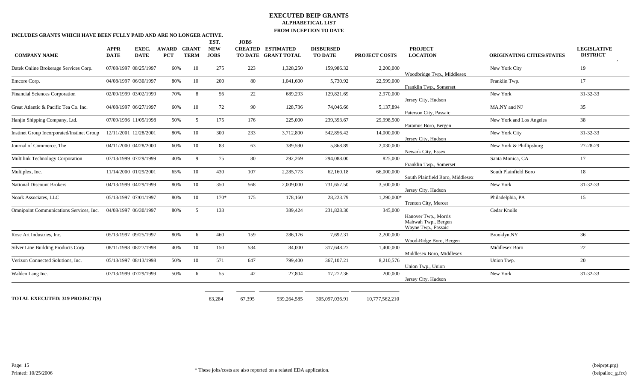| INCLUDES GRANTS WHICH HAVE BEEN FULLY PAID AND ARE NO LONGER ACTIVE. |                            |                       |                            |                             |                                   |             |                                                 | FROM INCERTION TO DATE             |                      |                                                                    |                                  |                                       |
|----------------------------------------------------------------------|----------------------------|-----------------------|----------------------------|-----------------------------|-----------------------------------|-------------|-------------------------------------------------|------------------------------------|----------------------|--------------------------------------------------------------------|----------------------------------|---------------------------------------|
| <b>COMPANY NAME</b>                                                  | <b>APPR</b><br><b>DATE</b> | EXEC.<br><b>DATE</b>  | <b>AWARD</b><br><b>PCT</b> | <b>GRANT</b><br><b>TERM</b> | EST.<br><b>NEW</b><br><b>JOBS</b> | <b>JOBS</b> | <b>CREATED ESTIMATED</b><br>TO DATE GRANT TOTAL | <b>DISBURSED</b><br><b>TO DATE</b> | <b>PROJECT COSTS</b> | <b>PROJECT</b><br><b>LOCATION</b>                                  | <b>ORIGINATING CITIES/STATES</b> | <b>LEGISLATIVE</b><br><b>DISTRICT</b> |
| Datek Online Brokerage Services Corp.                                |                            | 07/08/1997 08/25/1997 | 60%                        | 10                          | 275                               | 223         | 1,328,250                                       | 159,986.32                         | 2,200,000            | Woodbridge Twp., Middlesex                                         | New York City                    | 19                                    |
| Emcore Corp.                                                         |                            | 04/08/1997 06/30/1997 | 80%                        | 10                          | 200                               | 80          | 1,041,600                                       | 5,730.92                           | 22,599,000           | Franklin Twp., Somerset                                            | Franklin Twp.                    | 17                                    |
| Financial Sciences Corporation                                       |                            | 02/09/1999 03/02/1999 | 70%                        | 8                           | 56                                | 22          | 689,293                                         | 129,821.69                         | 2.970.000            | Jersey City, Hudson                                                | New York                         | $31 - 32 - 33$                        |
| Great Atlantic & Pacific Tea Co. Inc.                                |                            | 04/08/1997 06/27/1997 | 60%                        | 10                          | 72                                | 90          | 128,736                                         | 74,046.66                          | 5.137.894            | Paterson City, Passaic                                             | MA.NY and NJ                     | 35                                    |
| Hanjin Shipping Company, Ltd.                                        |                            | 07/09/1996 11/05/1998 | 50%                        | 5                           | 175                               | 176         | 225,000                                         | 239,393.67                         | 29,998,500           | Paramus Boro, Bergen                                               | New York and Los Angeles         | 38                                    |
| Instinet Group Incorporated/Instinet Group                           |                            | 12/11/2001 12/28/2001 | $80\%$                     | 10                          | 300                               | 233         | 3,712,800                                       | 542,856.42                         | 14,000,000           | Jersey City, Hudson                                                | New York City                    | 31-32-33                              |
| Journal of Commerce, The                                             |                            | 04/11/2000 04/28/2000 | 60%                        | 10                          | 83                                | 63          | 389,590                                         | 5,868.89                           | 2,030,000            | Newark City, Essex                                                 | New York & Phillipsburg          | 27-28-29                              |
| Multilink Technology Corporation                                     |                            | 07/13/1999 07/29/1999 | 40%                        | -9                          | 75                                | 80          | 292,269                                         | 294,088.00                         | 825,000              | Franklin Twp., Somerset                                            | Santa Monica, CA                 | 17                                    |
| Multiplex, Inc.                                                      |                            | 11/14/2000 01/29/2001 | 65%                        | 10                          | 430                               | 107         | 2,285,773                                       | 62,160.18                          | 66,000,000           | South Plainfield Boro, Middlesex                                   | South Plainfield Boro            | 18                                    |
| <b>National Discount Brokers</b>                                     |                            | 04/13/1999 04/29/1999 | 80%                        | 10                          | 350                               | 568         | 2,009,000                                       | 731,657.50                         | 3,500,000            | Jersey City, Hudson                                                | New York                         | $31 - 32 - 33$                        |
| Noark Associates, LLC                                                |                            | 05/13/1997 07/01/1997 | 80%                        | 10                          | $170*$                            | 175         | 178,160                                         | 28,223.79                          | 1.290.000*           | Trenton City, Mercer                                               | Philadelphia, PA                 | 15                                    |
| Omnipoint Communications Services, Inc.                              |                            | 04/08/1997 06/30/1997 | 80%                        | 5                           | 133                               |             | 389,424                                         | 231,828.30                         | 345,000              | Hanover Twp., Morris<br>Mahwah Twp., Bergen<br>Wayne Twp., Passaic | Cedar Knolls                     |                                       |
| Rose Art Industries, Inc.                                            |                            | 05/13/1997 09/25/1997 | 80%                        | 6                           | 460                               | 159         | 286,176                                         | 7,692.31                           | 2,200,000            | Wood-Ridge Boro, Bergen                                            | Brooklyn,NY                      | 36                                    |
| Silver Line Building Products Corp.                                  |                            | 08/11/1998 08/27/1998 | 40%                        | 10                          | 150                               | 534         | 84,000                                          | 317,648.27                         | 1,400,000            | Middlesex Boro, Middlesex                                          | Middlesex Boro                   | 22                                    |
| Verizon Connected Solutions, Inc.                                    |                            | 05/13/1997 08/13/1998 | 50%                        | 10                          | 571                               | 647         | 799,400                                         | 367,107.21                         | 8,210,576            | Union Twp., Union                                                  | Union Twp.                       | 20                                    |
| Walden Lang Inc.                                                     |                            | 07/13/1999 07/29/1999 | 50%                        | 6                           | 55                                | 42          | 27,804                                          | 17,272.36                          | 200,000              | Jersey City, Hudson                                                | New York                         | 31-32-33                              |
|                                                                      |                            |                       |                            |                             |                                   |             |                                                 |                                    |                      |                                                                    |                                  |                                       |
| <b>TOTAL EXECUTED: 319 PROJECT(S)</b>                                |                            |                       |                            |                             | 63,284                            | 67,395      | 939,264,585                                     | 305,097,036.91                     | 10,777,562,210       |                                                                    |                                  |                                       |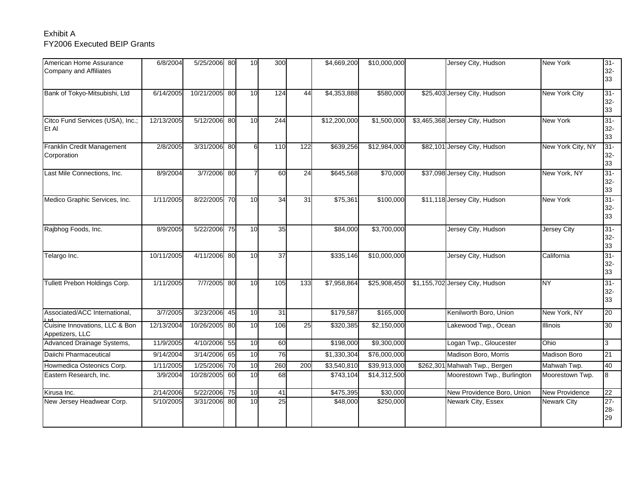# Exhibit AFY2006 Executed BEIP Grants

| American Home Assurance<br>Company and Affiliates | 6/8/2004   | 5/25/2006 80  |     | 10 | 300             |                 | \$4,669,200  | \$10,000,000 | Jersey City, Hudson             | New York              | $31 -$<br>$32-$<br>33  |
|---------------------------------------------------|------------|---------------|-----|----|-----------------|-----------------|--------------|--------------|---------------------------------|-----------------------|------------------------|
| Bank of Tokyo-Mitsubishi, Ltd                     | 6/14/2005  | 10/21/2005 80 |     | 10 | 124             | 44              | \$4,353,888  | \$580,000    | \$25,403 Jersey City, Hudson    | <b>New York City</b>  | $31 -$<br>$32-$<br>33  |
| Citco Fund Services (USA), Inc.;<br>Et Al         | 12/13/2005 | 5/12/2006 80  |     | 10 | 244             |                 | \$12,200,000 | \$1,500,000  | \$3,465,368 Jersey City, Hudson | <b>New York</b>       | $31 -$<br>$32-$<br>33  |
| Franklin Credit Management<br>Corporation         | 2/8/2005   | 3/31/2006 80  |     | 6  | 110             | 122             | \$639,256    | \$12,984,000 | \$82,101 Jersey City, Hudson    | New York City, NY     | $31 -$<br>$32-$<br>33  |
| Last Mile Connections, Inc.                       | 8/9/2004   | 3/7/2006 80   |     |    | $\overline{60}$ | $\overline{24}$ | \$645,568    | \$70,000     | \$37,098 Jersey City, Hudson    | New York, NY          | $31 -$<br>$32 -$<br>33 |
| Medico Graphic Services, Inc.                     | 1/11/2005  | 8/22/2005 70  |     | 10 | 34              | 31              | \$75,361     | \$100,000    | \$11,118 Jersey City, Hudson    | <b>New York</b>       | $31 -$<br>$32-$<br>33  |
| Rajbhog Foods, Inc.                               | 8/9/2005   | 5/22/2006 75  |     | 10 | 35              |                 | \$84,000     | \$3,700,000  | Jersey City, Hudson             | Jersey City           | $31 -$<br>$32-$<br>33  |
| Telargo Inc.                                      | 10/11/2005 | 4/11/2006 80  |     | 10 | $\overline{37}$ |                 | \$335,146    | \$10,000,000 | Jersey City, Hudson             | California            | $31 -$<br>$32-$<br>33  |
| Tullett Prebon Holdings Corp.                     | 1/11/2005  | 7/7/2005 80   |     | 10 | 105             | 133             | \$7,958,864  | \$25,908,450 | \$1,155,702 Jersey City, Hudson | <b>NY</b>             | $31 -$<br>$32-$<br>33  |
| Associated/ACC International,                     | 3/7/2005   | 3/23/2006 45  |     | 10 | 31              |                 | \$179,587    | \$165,000    | Kenilworth Boro, Union          | New York, NY          | 20                     |
| Cuisine Innovations, LLC & Bon<br>Appetizers, LLC | 12/13/2004 | 10/26/2005    | -80 | 10 | 106             | 25              | \$320,385    | \$2,150,000  | Lakewood Twp., Ocean            | <b>Illinois</b>       | 30                     |
| Advanced Drainage Systems,                        | 11/9/2005  | 4/10/2006 55  |     | 10 | 60              |                 | \$198,000    | \$9,300,000  | Logan Twp., Gloucester          | Ohio                  | l3                     |
| Daiichi Pharmaceutical                            | 9/14/2004  | 3/14/2006 65  |     | 10 | 76              |                 | \$1,330,304  | \$76,000,000 | Madison Boro, Morris            | Madison Boro          | 21                     |
| Howmedica Osteonics Corp.                         | 1/11/2005  | 1/25/2006 70  |     | 10 | 260             | 200             | \$3,540,810  | \$39,913,000 | \$262,301 Mahwah Twp., Bergen   | Mahwah Twp.           | 40                     |
| Eastern Research, Inc.                            | 3/9/2004   | 10/28/2005 60 |     | 10 | 68              |                 | \$743,104    | \$14,312,500 | Moorestown Twp., Burlington     | Moorestown Twp.       | 8                      |
| Kirusa Inc.                                       | 2/14/2006  | 5/22/2006 75  |     | 10 | 41              |                 | \$475,395    | \$30,000     | New Providence Boro, Union      | <b>New Providence</b> | 22                     |
| New Jersey Headwear Corp.                         | 5/10/2005  | 3/31/2006 80  |     | 10 | 25              |                 | \$48,000     | \$250,000    | Newark City, Essex              | <b>Newark City</b>    | $27 -$<br>$28 -$<br>29 |